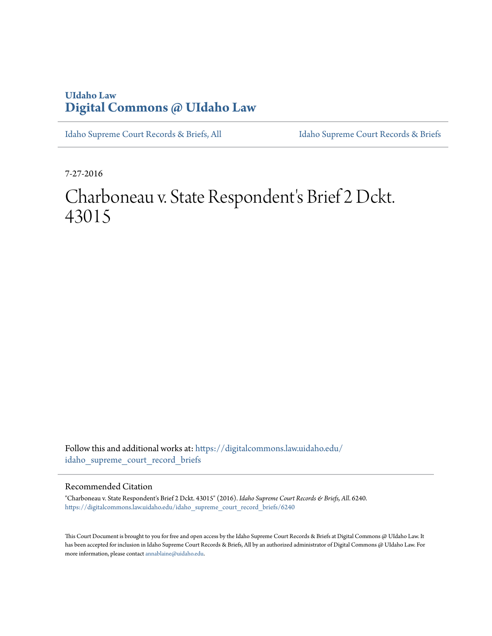# **UIdaho Law [Digital Commons @ UIdaho Law](https://digitalcommons.law.uidaho.edu?utm_source=digitalcommons.law.uidaho.edu%2Fidaho_supreme_court_record_briefs%2F6240&utm_medium=PDF&utm_campaign=PDFCoverPages)**

[Idaho Supreme Court Records & Briefs, All](https://digitalcommons.law.uidaho.edu/idaho_supreme_court_record_briefs?utm_source=digitalcommons.law.uidaho.edu%2Fidaho_supreme_court_record_briefs%2F6240&utm_medium=PDF&utm_campaign=PDFCoverPages) [Idaho Supreme Court Records & Briefs](https://digitalcommons.law.uidaho.edu/iscrb?utm_source=digitalcommons.law.uidaho.edu%2Fidaho_supreme_court_record_briefs%2F6240&utm_medium=PDF&utm_campaign=PDFCoverPages)

7-27-2016

# Charboneau v. State Respondent's Brief 2 Dckt. 43015

Follow this and additional works at: [https://digitalcommons.law.uidaho.edu/](https://digitalcommons.law.uidaho.edu/idaho_supreme_court_record_briefs?utm_source=digitalcommons.law.uidaho.edu%2Fidaho_supreme_court_record_briefs%2F6240&utm_medium=PDF&utm_campaign=PDFCoverPages) [idaho\\_supreme\\_court\\_record\\_briefs](https://digitalcommons.law.uidaho.edu/idaho_supreme_court_record_briefs?utm_source=digitalcommons.law.uidaho.edu%2Fidaho_supreme_court_record_briefs%2F6240&utm_medium=PDF&utm_campaign=PDFCoverPages)

#### Recommended Citation

"Charboneau v. State Respondent's Brief 2 Dckt. 43015" (2016). *Idaho Supreme Court Records & Briefs, All*. 6240. [https://digitalcommons.law.uidaho.edu/idaho\\_supreme\\_court\\_record\\_briefs/6240](https://digitalcommons.law.uidaho.edu/idaho_supreme_court_record_briefs/6240?utm_source=digitalcommons.law.uidaho.edu%2Fidaho_supreme_court_record_briefs%2F6240&utm_medium=PDF&utm_campaign=PDFCoverPages)

This Court Document is brought to you for free and open access by the Idaho Supreme Court Records & Briefs at Digital Commons @ UIdaho Law. It has been accepted for inclusion in Idaho Supreme Court Records & Briefs, All by an authorized administrator of Digital Commons @ UIdaho Law. For more information, please contact [annablaine@uidaho.edu](mailto:annablaine@uidaho.edu).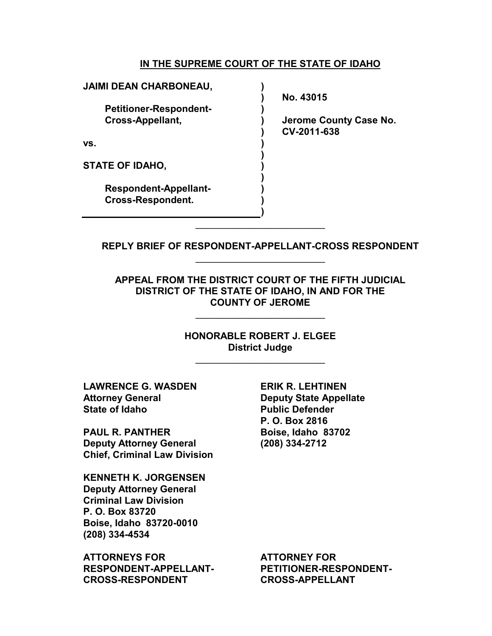### **IN THE SUPREME COURT OF THE STATE OF IDAHO**

| <b>JAIMI DEAN CHARBONEAU,</b> |                                       |
|-------------------------------|---------------------------------------|
|                               | No. 43015                             |
| <b>Petitioner-Respondent-</b> |                                       |
| <b>Cross-Appellant,</b>       | Jerome County Case No.<br>CV-2011-638 |
| VS.                           |                                       |
| <b>STATE OF IDAHO,</b>        |                                       |
| <b>Respondent-Appellant-</b>  |                                       |
| <b>Cross-Respondent.</b>      |                                       |
|                               |                                       |
|                               |                                       |

**REPLY BRIEF OF RESPONDENT-APPELLANT-CROSS RESPONDENT**  \_\_\_\_\_\_\_\_\_\_\_\_\_\_\_\_\_\_\_\_\_\_\_\_

**APPEAL FROM THE DISTRICT COURT OF THE FIFTH JUDICIAL DISTRICT OF THE STATE OF IDAHO, IN AND FOR THE COUNTY OF JEROME** 

\_\_\_\_\_\_\_\_\_\_\_\_\_\_\_\_\_\_\_\_\_\_\_\_

**HONORABLE ROBERT J. ELGEE District Judge** 

\_\_\_\_\_\_\_\_\_\_\_\_\_\_\_\_\_\_\_\_\_\_\_\_

**LAWRENCE G. WASDEN Attorney General State of Idaho**

**PAUL R. PANTHER Deputy Attorney General Chief, Criminal Law Division**

**KENNETH K. JORGENSEN Deputy Attorney General Criminal Law Division P. O. Box 83720 Boise, Idaho 83720-0010 (208) 334-4534**

**ATTORNEYS FOR RESPONDENT-APPELLANT-CROSS-RESPONDENT**

**ERIK R. LEHTINEN Deputy State Appellate Public Defender P. O. Box 2816 Boise, Idaho 83702 (208) 334-2712**

**ATTORNEY FOR PETITIONER-RESPONDENT-CROSS-APPELLANT**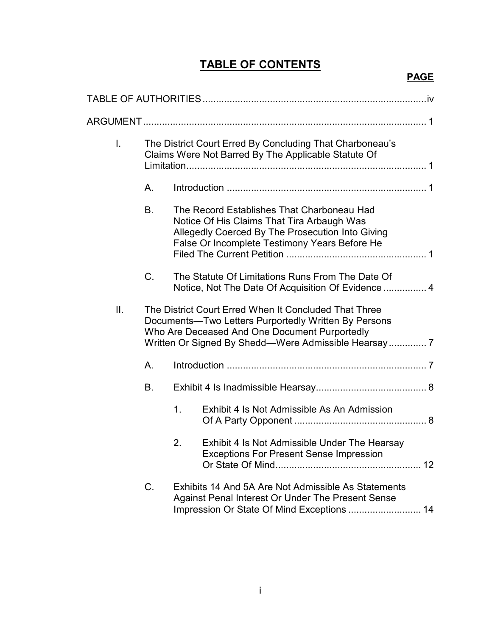# **TABLE OF CONTENTS**

# **PAGE**

| $\mathsf{L}$ |    | The District Court Erred By Concluding That Charboneau's<br>Claims Were Not Barred By The Applicable Statute Of                                                                               |  |  |
|--------------|----|-----------------------------------------------------------------------------------------------------------------------------------------------------------------------------------------------|--|--|
|              | Α. |                                                                                                                                                                                               |  |  |
|              | B. | The Record Establishes That Charboneau Had<br>Notice Of His Claims That Tira Arbaugh Was<br>Allegedly Coerced By The Prosecution Into Giving<br>False Or Incomplete Testimony Years Before He |  |  |
|              | C. | The Statute Of Limitations Runs From The Date Of<br>Notice, Not The Date Of Acquisition Of Evidence  4                                                                                        |  |  |
| II.          |    | The District Court Erred When It Concluded That Three<br>Documents-Two Letters Purportedly Written By Persons<br>Who Are Deceased And One Document Purportedly                                |  |  |
|              | A. |                                                                                                                                                                                               |  |  |
|              | В. |                                                                                                                                                                                               |  |  |
|              |    | 1.<br>Exhibit 4 Is Not Admissible As An Admission                                                                                                                                             |  |  |
|              |    | Exhibit 4 Is Not Admissible Under The Hearsay<br>2.<br><b>Exceptions For Present Sense Impression</b>                                                                                         |  |  |
|              | C. | Exhibits 14 And 5A Are Not Admissible As Statements<br>Against Penal Interest Or Under The Present Sense<br>Impression Or State Of Mind Exceptions  14                                        |  |  |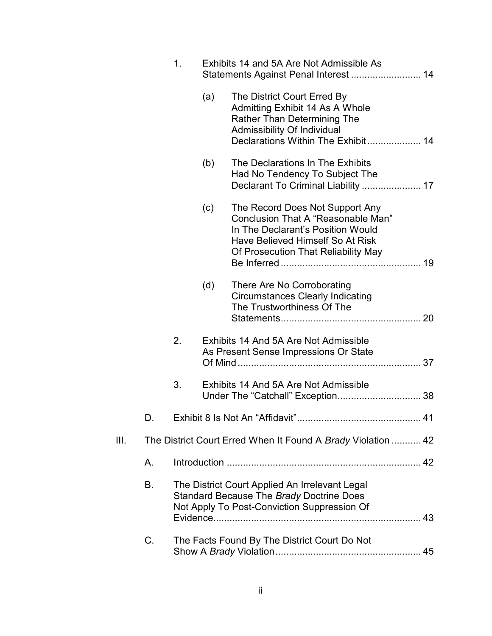|      |    | 1. |     | Exhibits 14 and 5A Are Not Admissible As                                                                                                                                              |    |
|------|----|----|-----|---------------------------------------------------------------------------------------------------------------------------------------------------------------------------------------|----|
|      |    |    | (a) | The District Court Erred By<br>Admitting Exhibit 14 As A Whole<br><b>Rather Than Determining The</b><br><b>Admissibility Of Individual</b><br>Declarations Within The Exhibit 14      |    |
|      |    |    | (b) | The Declarations In The Exhibits<br>Had No Tendency To Subject The<br>Declarant To Criminal Liability  17                                                                             |    |
|      |    |    | (c) | The Record Does Not Support Any<br>Conclusion That A "Reasonable Man"<br>In The Declarant's Position Would<br>Have Believed Himself So At Risk<br>Of Prosecution That Reliability May |    |
|      |    |    | (d) | There Are No Corroborating<br><b>Circumstances Clearly Indicating</b><br>The Trustworthiness Of The                                                                                   | 20 |
|      |    | 2. |     | Exhibits 14 And 5A Are Not Admissible<br>As Present Sense Impressions Or State                                                                                                        |    |
|      |    | 3. |     | Exhibits 14 And 5A Are Not Admissible                                                                                                                                                 |    |
|      | D. |    |     |                                                                                                                                                                                       | 41 |
| III. |    |    |     | The District Court Erred When It Found A Brady Violation  42                                                                                                                          |    |
|      | Α. |    |     |                                                                                                                                                                                       |    |
|      | В. |    |     | The District Court Applied An Irrelevant Legal<br>Standard Because The Brady Doctrine Does<br>Not Apply To Post-Conviction Suppression Of                                             |    |
|      | C. |    |     | The Facts Found By The District Court Do Not                                                                                                                                          |    |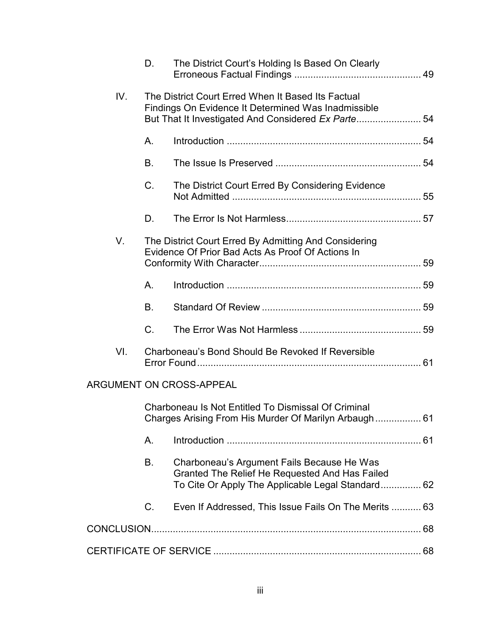|     | D.          | The District Court's Holding Is Based On Clearly                                                                                                                |  |
|-----|-------------|-----------------------------------------------------------------------------------------------------------------------------------------------------------------|--|
| IV. |             | The District Court Erred When It Based Its Factual<br>Findings On Evidence It Determined Was Inadmissible<br>But That It Investigated And Considered Ex Parte54 |  |
|     | Α.          |                                                                                                                                                                 |  |
|     | B.          |                                                                                                                                                                 |  |
|     | C.          | The District Court Erred By Considering Evidence                                                                                                                |  |
|     | D.          |                                                                                                                                                                 |  |
| V.  |             | The District Court Erred By Admitting And Considering<br>Evidence Of Prior Bad Acts As Proof Of Actions In                                                      |  |
|     | Α.          |                                                                                                                                                                 |  |
|     | B.          |                                                                                                                                                                 |  |
|     | $C_{\cdot}$ |                                                                                                                                                                 |  |
| VI. |             | Charboneau's Bond Should Be Revoked If Reversible                                                                                                               |  |
|     |             | ARGUMENT ON CROSS-APPEAL                                                                                                                                        |  |
|     |             | Charboneau Is Not Entitled To Dismissal Of Criminal<br>Charges Arising From His Murder Of Marilyn Arbaugh 61                                                    |  |
|     | A.          |                                                                                                                                                                 |  |
|     | В.          | Charboneau's Argument Fails Because He Was<br>Granted The Relief He Requested And Has Failed<br>To Cite Or Apply The Applicable Legal Standard 62               |  |
|     | C.          | Even If Addressed, This Issue Fails On The Merits  63                                                                                                           |  |
|     |             |                                                                                                                                                                 |  |
|     |             |                                                                                                                                                                 |  |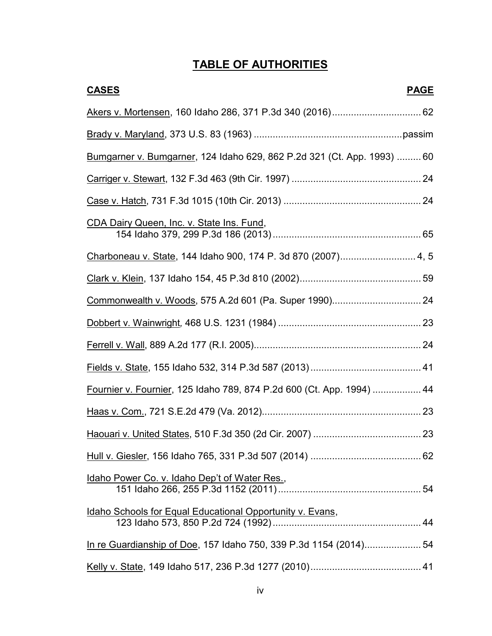# **TABLE OF AUTHORITIES**

| <b>CASES</b><br><b>PAGE</b>                                             |
|-------------------------------------------------------------------------|
|                                                                         |
|                                                                         |
| Bumgarner v. Bumgarner, 124 Idaho 629, 862 P.2d 321 (Ct. App. 1993)  60 |
|                                                                         |
|                                                                         |
| CDA Dairy Queen, Inc. v. State Ins. Fund,                               |
|                                                                         |
|                                                                         |
|                                                                         |
|                                                                         |
|                                                                         |
|                                                                         |
| Fournier v. Fournier, 125 Idaho 789, 874 P.2d 600 (Ct. App. 1994)  44   |
|                                                                         |
|                                                                         |
|                                                                         |
| Idaho Power Co. v. Idaho Dep't of Water Res.,                           |
| Idaho Schools for Equal Educational Opportunity v. Evans,               |
| In re Guardianship of Doe, 157 Idaho 750, 339 P.3d 1154 (2014) 54       |
|                                                                         |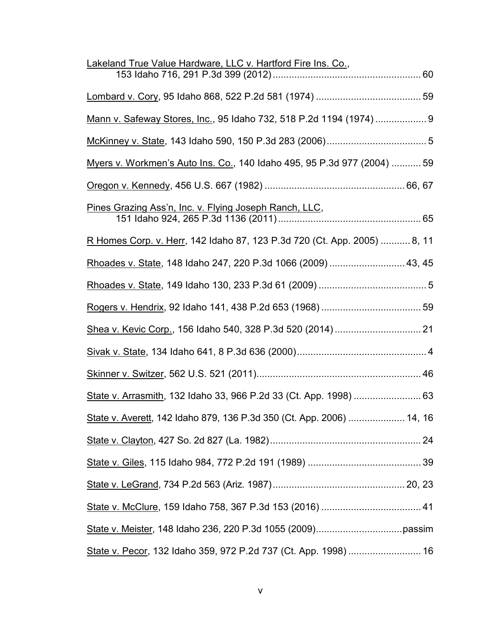| Lakeland True Value Hardware, LLC v. Hartford Fire Ins. Co.,             |
|--------------------------------------------------------------------------|
|                                                                          |
| Mann v. Safeway Stores, Inc., 95 Idaho 732, 518 P.2d 1194 (1974) 9       |
|                                                                          |
| Myers v. Workmen's Auto Ins. Co., 140 Idaho 495, 95 P.3d 977 (2004)  59  |
|                                                                          |
| Pines Grazing Ass'n, Inc. v. Flying Joseph Ranch, LLC,                   |
| R Homes Corp. v. Herr, 142 Idaho 87, 123 P.3d 720 (Ct. App. 2005)  8, 11 |
| Rhoades v. State, 148 Idaho 247, 220 P.3d 1066 (2009)  43, 45            |
|                                                                          |
|                                                                          |
|                                                                          |
|                                                                          |
|                                                                          |
|                                                                          |
| State v. Averett, 142 Idaho 879, 136 P.3d 350 (Ct. App. 2006)  14, 16    |
|                                                                          |
|                                                                          |
|                                                                          |
|                                                                          |
|                                                                          |
| State v. Pecor, 132 Idaho 359, 972 P.2d 737 (Ct. App. 1998)  16          |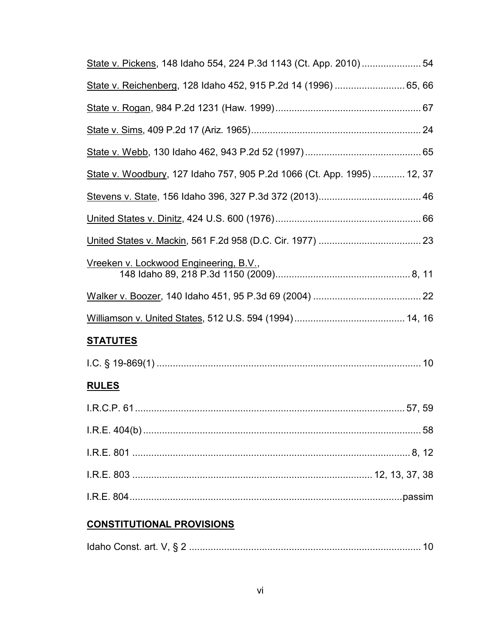| State v. Pickens, 148 Idaho 554, 224 P.3d 1143 (Ct. App. 2010)  54      |
|-------------------------------------------------------------------------|
| State v. Reichenberg, 128 Idaho 452, 915 P.2d 14 (1996)  65, 66         |
|                                                                         |
|                                                                         |
|                                                                         |
| State v. Woodbury, 127 Idaho 757, 905 P.2d 1066 (Ct. App. 1995)  12, 37 |
|                                                                         |
|                                                                         |
|                                                                         |
| Vreeken v. Lockwood Engineering, B.V.,                                  |
|                                                                         |
|                                                                         |
| <u>STATUTES</u>                                                         |
|                                                                         |
| <b>RULES</b>                                                            |
|                                                                         |
|                                                                         |
|                                                                         |
|                                                                         |
|                                                                         |
| <b>CONSTITUTIONAL PROVISIONS</b>                                        |

|--|--|--|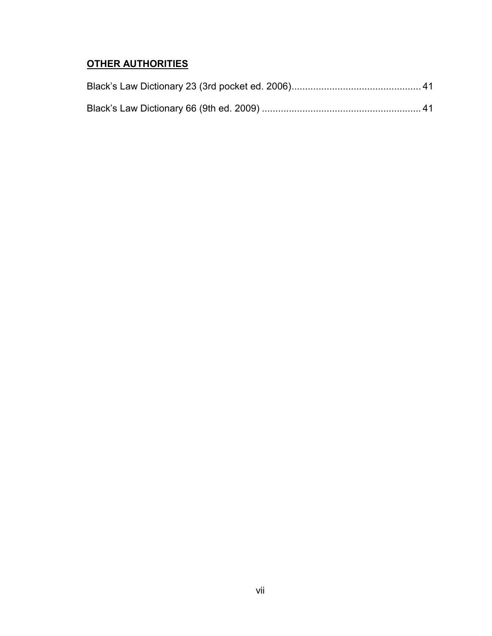# **OTHER AUTHORITIES**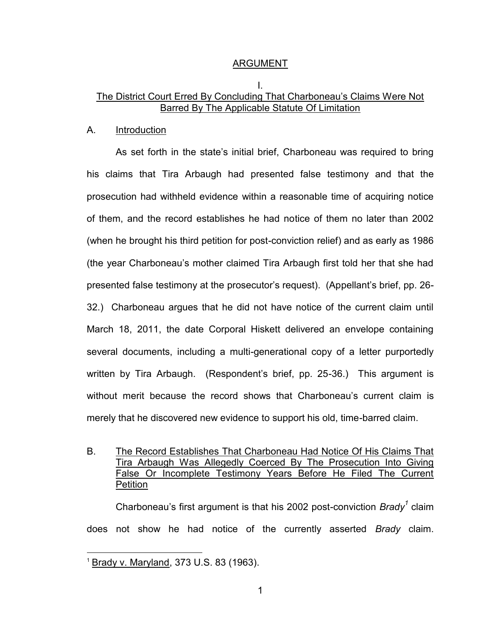#### ARGUMENT

### I. The District Court Erred By Concluding That Charboneau's Claims Were Not Barred By The Applicable Statute Of Limitation

#### A. Introduction

 As set forth in the state's initial brief, Charboneau was required to bring his claims that Tira Arbaugh had presented false testimony and that the prosecution had withheld evidence within a reasonable time of acquiring notice of them, and the record establishes he had notice of them no later than 2002 (when he brought his third petition for post-conviction relief) and as early as 1986 (the year Charboneau's mother claimed Tira Arbaugh first told her that she had presented false testimony at the prosecutor's request). (Appellant's brief, pp. 26- 32.) Charboneau argues that he did not have notice of the current claim until March 18, 2011, the date Corporal Hiskett delivered an envelope containing several documents, including a multi-generational copy of a letter purportedly written by Tira Arbaugh. (Respondent's brief, pp. 25-36.) This argument is without merit because the record shows that Charboneau's current claim is merely that he discovered new evidence to support his old, time-barred claim.

B. The Record Establishes That Charboneau Had Notice Of His Claims That Tira Arbaugh Was Allegedly Coerced By The Prosecution Into Giving False Or Incomplete Testimony Years Before He Filed The Current Petition

Charboneau's first argument is that his 2002 post-conviction *Brady<sup>1</sup>* claim does not show he had notice of the currently asserted *Brady* claim.

 $\overline{a}$ 

<sup>1</sup> Brady v. Maryland, 373 U.S. 83 (1963).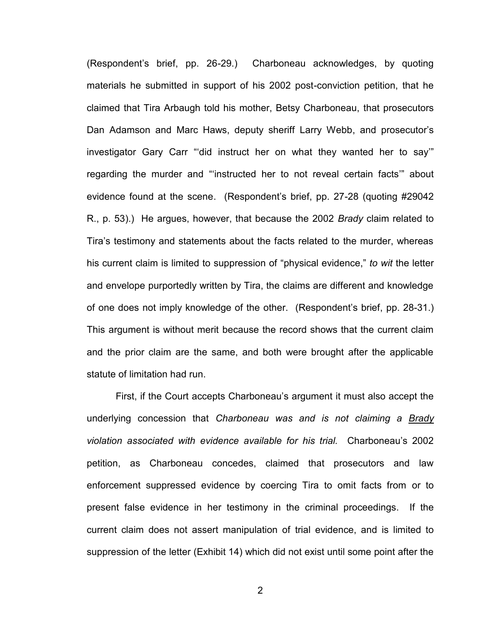(Respondent's brief, pp. 26-29.) Charboneau acknowledges, by quoting materials he submitted in support of his 2002 post-conviction petition, that he claimed that Tira Arbaugh told his mother, Betsy Charboneau, that prosecutors Dan Adamson and Marc Haws, deputy sheriff Larry Webb, and prosecutor's investigator Gary Carr "'did instruct her on what they wanted her to say'" regarding the murder and "'instructed her to not reveal certain facts'" about evidence found at the scene. (Respondent's brief, pp. 27-28 (quoting #29042 R., p. 53).) He argues, however, that because the 2002 *Brady* claim related to Tira's testimony and statements about the facts related to the murder, whereas his current claim is limited to suppression of "physical evidence," *to wit* the letter and envelope purportedly written by Tira, the claims are different and knowledge of one does not imply knowledge of the other. (Respondent's brief, pp. 28-31.) This argument is without merit because the record shows that the current claim and the prior claim are the same, and both were brought after the applicable statute of limitation had run.

 First, if the Court accepts Charboneau's argument it must also accept the underlying concession that *Charboneau was and is not claiming a Brady violation associated with evidence available for his trial.* Charboneau's 2002 petition, as Charboneau concedes, claimed that prosecutors and law enforcement suppressed evidence by coercing Tira to omit facts from or to present false evidence in her testimony in the criminal proceedings. If the current claim does not assert manipulation of trial evidence, and is limited to suppression of the letter (Exhibit 14) which did not exist until some point after the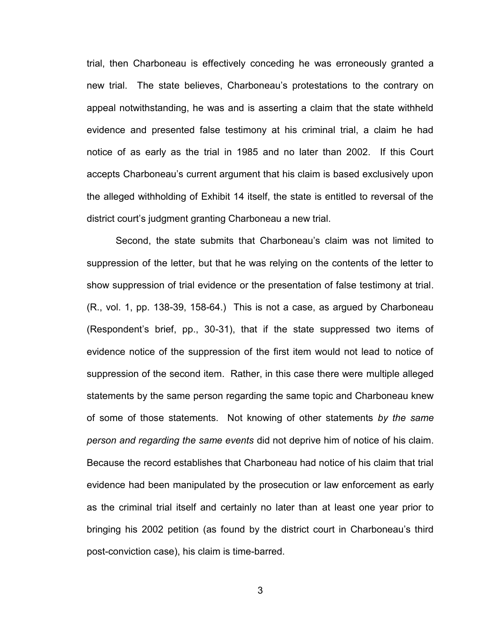trial, then Charboneau is effectively conceding he was erroneously granted a new trial. The state believes, Charboneau's protestations to the contrary on appeal notwithstanding, he was and is asserting a claim that the state withheld evidence and presented false testimony at his criminal trial, a claim he had notice of as early as the trial in 1985 and no later than 2002. If this Court accepts Charboneau's current argument that his claim is based exclusively upon the alleged withholding of Exhibit 14 itself, the state is entitled to reversal of the district court's judgment granting Charboneau a new trial.

Second, the state submits that Charboneau's claim was not limited to suppression of the letter, but that he was relying on the contents of the letter to show suppression of trial evidence or the presentation of false testimony at trial. (R., vol. 1, pp. 138-39, 158-64.) This is not a case, as argued by Charboneau (Respondent's brief, pp., 30-31), that if the state suppressed two items of evidence notice of the suppression of the first item would not lead to notice of suppression of the second item. Rather, in this case there were multiple alleged statements by the same person regarding the same topic and Charboneau knew of some of those statements. Not knowing of other statements *by the same person and regarding the same events* did not deprive him of notice of his claim. Because the record establishes that Charboneau had notice of his claim that trial evidence had been manipulated by the prosecution or law enforcement as early as the criminal trial itself and certainly no later than at least one year prior to bringing his 2002 petition (as found by the district court in Charboneau's third post-conviction case), his claim is time-barred.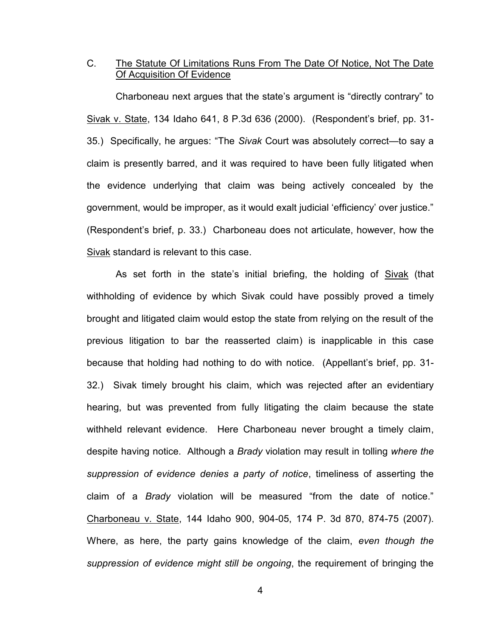# C. The Statute Of Limitations Runs From The Date Of Notice, Not The Date Of Acquisition Of Evidence

 Charboneau next argues that the state's argument is "directly contrary" to Sivak v. State, 134 Idaho 641, 8 P.3d 636 (2000). (Respondent's brief, pp. 31- 35.) Specifically, he argues: "The *Sivak* Court was absolutely correct—to say a claim is presently barred, and it was required to have been fully litigated when the evidence underlying that claim was being actively concealed by the government, would be improper, as it would exalt judicial 'efficiency' over justice." (Respondent's brief, p. 33.) Charboneau does not articulate, however, how the Sivak standard is relevant to this case.

As set forth in the state's initial briefing, the holding of Sivak (that withholding of evidence by which Sivak could have possibly proved a timely brought and litigated claim would estop the state from relying on the result of the previous litigation to bar the reasserted claim) is inapplicable in this case because that holding had nothing to do with notice. (Appellant's brief, pp. 31- 32.) Sivak timely brought his claim, which was rejected after an evidentiary hearing, but was prevented from fully litigating the claim because the state withheld relevant evidence. Here Charboneau never brought a timely claim, despite having notice. Although a *Brady* violation may result in tolling *where the suppression of evidence denies a party of notice*, timeliness of asserting the claim of a *Brady* violation will be measured "from the date of notice." Charboneau v. State, 144 Idaho 900, 904-05, 174 P. 3d 870, 874-75 (2007). Where, as here, the party gains knowledge of the claim, *even though the suppression of evidence might still be ongoing*, the requirement of bringing the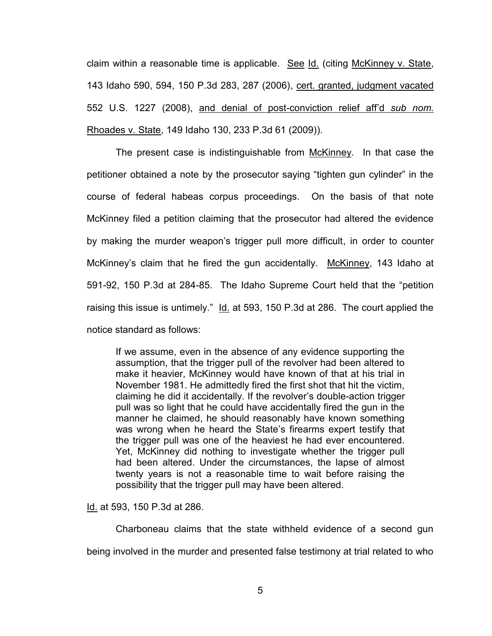claim within a reasonable time is applicable. See Id. (citing McKinney v. State, 143 Idaho 590, 594, 150 P.3d 283, 287 (2006), cert. granted, judgment vacated 552 U.S. 1227 (2008), and denial of post-conviction relief aff'd *sub nom.* Rhoades v. State, 149 Idaho 130, 233 P.3d 61 (2009)).

The present case is indistinguishable from McKinney. In that case the petitioner obtained a note by the prosecutor saying "tighten gun cylinder" in the course of federal habeas corpus proceedings. On the basis of that note McKinney filed a petition claiming that the prosecutor had altered the evidence by making the murder weapon's trigger pull more difficult, in order to counter McKinney's claim that he fired the gun accidentally. McKinney, 143 Idaho at 591-92, 150 P.3d at 284-85. The Idaho Supreme Court held that the "petition raising this issue is untimely." Id. at 593, 150 P.3d at 286. The court applied the notice standard as follows:

If we assume, even in the absence of any evidence supporting the assumption, that the trigger pull of the revolver had been altered to make it heavier, McKinney would have known of that at his trial in November 1981. He admittedly fired the first shot that hit the victim, claiming he did it accidentally. If the revolver's double-action trigger pull was so light that he could have accidentally fired the gun in the manner he claimed, he should reasonably have known something was wrong when he heard the State's firearms expert testify that the trigger pull was one of the heaviest he had ever encountered. Yet, McKinney did nothing to investigate whether the trigger pull had been altered. Under the circumstances, the lapse of almost twenty years is not a reasonable time to wait before raising the possibility that the trigger pull may have been altered.

Id. at 593, 150 P.3d at 286.

Charboneau claims that the state withheld evidence of a second gun being involved in the murder and presented false testimony at trial related to who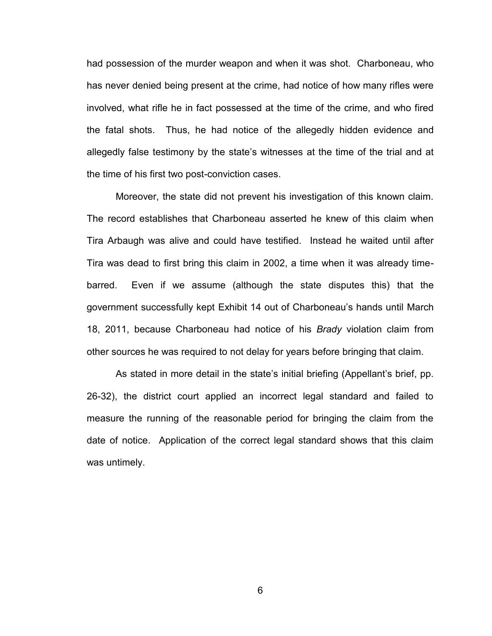had possession of the murder weapon and when it was shot. Charboneau, who has never denied being present at the crime, had notice of how many rifles were involved, what rifle he in fact possessed at the time of the crime, and who fired the fatal shots. Thus, he had notice of the allegedly hidden evidence and allegedly false testimony by the state's witnesses at the time of the trial and at the time of his first two post-conviction cases.

Moreover, the state did not prevent his investigation of this known claim. The record establishes that Charboneau asserted he knew of this claim when Tira Arbaugh was alive and could have testified. Instead he waited until after Tira was dead to first bring this claim in 2002, a time when it was already timebarred. Even if we assume (although the state disputes this) that the government successfully kept Exhibit 14 out of Charboneau's hands until March 18, 2011, because Charboneau had notice of his *Brady* violation claim from other sources he was required to not delay for years before bringing that claim.

 As stated in more detail in the state's initial briefing (Appellant's brief, pp. 26-32), the district court applied an incorrect legal standard and failed to measure the running of the reasonable period for bringing the claim from the date of notice. Application of the correct legal standard shows that this claim was untimely.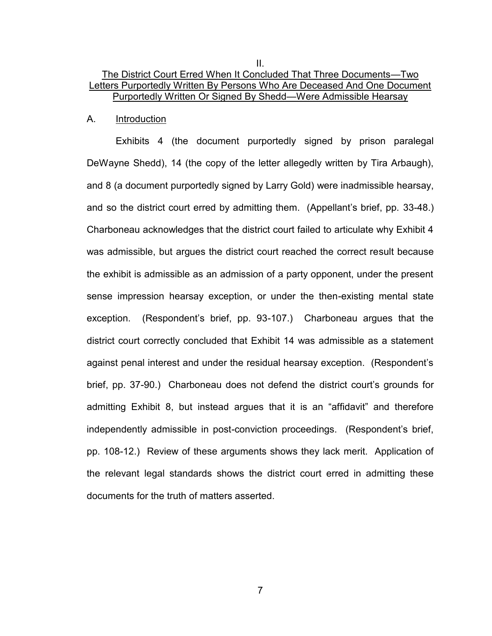# The District Court Erred When It Concluded That Three Documents—Two Letters Purportedly Written By Persons Who Are Deceased And One Document Purportedly Written Or Signed By Shedd—Were Admissible Hearsay

II.

#### A. Introduction

 Exhibits 4 (the document purportedly signed by prison paralegal DeWayne Shedd), 14 (the copy of the letter allegedly written by Tira Arbaugh), and 8 (a document purportedly signed by Larry Gold) were inadmissible hearsay, and so the district court erred by admitting them. (Appellant's brief, pp. 33-48.) Charboneau acknowledges that the district court failed to articulate why Exhibit 4 was admissible, but argues the district court reached the correct result because the exhibit is admissible as an admission of a party opponent, under the present sense impression hearsay exception, or under the then-existing mental state exception. (Respondent's brief, pp. 93-107.) Charboneau argues that the district court correctly concluded that Exhibit 14 was admissible as a statement against penal interest and under the residual hearsay exception. (Respondent's brief, pp. 37-90.) Charboneau does not defend the district court's grounds for admitting Exhibit 8, but instead argues that it is an "affidavit" and therefore independently admissible in post-conviction proceedings. (Respondent's brief, pp. 108-12.) Review of these arguments shows they lack merit. Application of the relevant legal standards shows the district court erred in admitting these documents for the truth of matters asserted.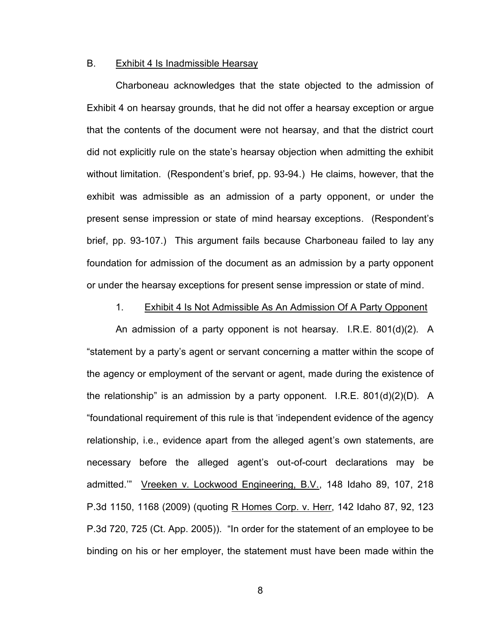#### B. Exhibit 4 Is Inadmissible Hearsay

 Charboneau acknowledges that the state objected to the admission of Exhibit 4 on hearsay grounds, that he did not offer a hearsay exception or argue that the contents of the document were not hearsay, and that the district court did not explicitly rule on the state's hearsay objection when admitting the exhibit without limitation. (Respondent's brief, pp. 93-94.) He claims, however, that the exhibit was admissible as an admission of a party opponent, or under the present sense impression or state of mind hearsay exceptions. (Respondent's brief, pp. 93-107.) This argument fails because Charboneau failed to lay any foundation for admission of the document as an admission by a party opponent or under the hearsay exceptions for present sense impression or state of mind.

#### 1. Exhibit 4 Is Not Admissible As An Admission Of A Party Opponent

 An admission of a party opponent is not hearsay. I.R.E. 801(d)(2). A "statement by a party's agent or servant concerning a matter within the scope of the agency or employment of the servant or agent, made during the existence of the relationship" is an admission by a party opponent. I.R.E. 801(d)(2)(D). A "foundational requirement of this rule is that 'independent evidence of the agency relationship, i.e., evidence apart from the alleged agent's own statements, are necessary before the alleged agent's out-of-court declarations may be admitted.'" Vreeken v. Lockwood Engineering, B.V., 148 Idaho 89, 107, 218 P.3d 1150, 1168 (2009) (quoting R Homes Corp. v. Herr, 142 Idaho 87, 92, 123 P.3d 720, 725 (Ct. App. 2005)). "In order for the statement of an employee to be binding on his or her employer, the statement must have been made within the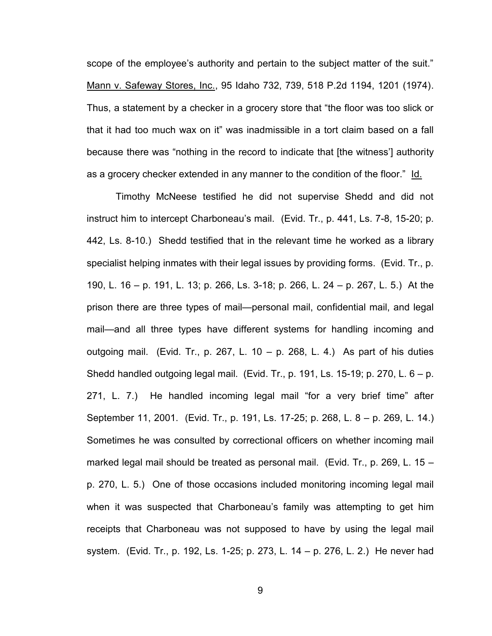scope of the employee's authority and pertain to the subject matter of the suit." Mann v. Safeway Stores, Inc., 95 Idaho 732, 739, 518 P.2d 1194, 1201 (1974). Thus, a statement by a checker in a grocery store that "the floor was too slick or that it had too much wax on it" was inadmissible in a tort claim based on a fall because there was "nothing in the record to indicate that [the witness'] authority as a grocery checker extended in any manner to the condition of the floor." Id.

 Timothy McNeese testified he did not supervise Shedd and did not instruct him to intercept Charboneau's mail. (Evid. Tr., p. 441, Ls. 7-8, 15-20; p. 442, Ls. 8-10.) Shedd testified that in the relevant time he worked as a library specialist helping inmates with their legal issues by providing forms. (Evid. Tr., p. 190, L. 16 – p. 191, L. 13; p. 266, Ls. 3-18; p. 266, L. 24 – p. 267, L. 5.) At the prison there are three types of mail—personal mail, confidential mail, and legal mail—and all three types have different systems for handling incoming and outgoing mail. (Evid. Tr., p. 267, L. 10 – p. 268, L. 4.) As part of his duties Shedd handled outgoing legal mail. (Evid. Tr., p. 191, Ls. 15-19; p. 270, L. 6 – p. 271, L. 7.) He handled incoming legal mail "for a very brief time" after September 11, 2001. (Evid. Tr., p. 191, Ls. 17-25; p. 268, L. 8 – p. 269, L. 14.) Sometimes he was consulted by correctional officers on whether incoming mail marked legal mail should be treated as personal mail. (Evid. Tr., p. 269, L. 15 – p. 270, L. 5.) One of those occasions included monitoring incoming legal mail when it was suspected that Charboneau's family was attempting to get him receipts that Charboneau was not supposed to have by using the legal mail system. (Evid. Tr., p. 192, Ls. 1-25; p. 273, L. 14 – p. 276, L. 2.) He never had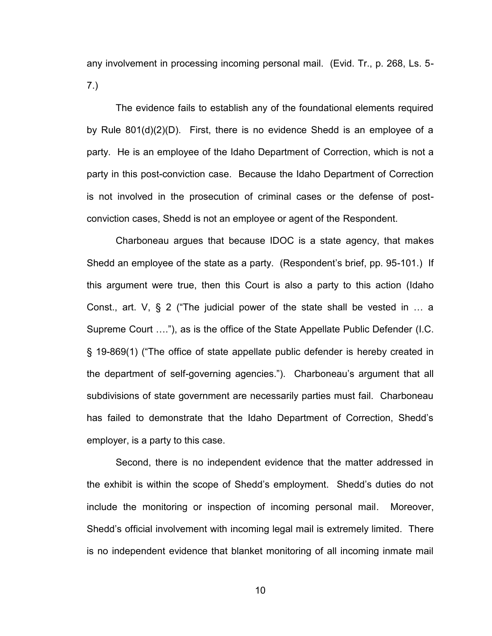any involvement in processing incoming personal mail. (Evid. Tr., p. 268, Ls. 5- 7.)

The evidence fails to establish any of the foundational elements required by Rule 801(d)(2)(D). First, there is no evidence Shedd is an employee of a party. He is an employee of the Idaho Department of Correction, which is not a party in this post-conviction case. Because the Idaho Department of Correction is not involved in the prosecution of criminal cases or the defense of postconviction cases, Shedd is not an employee or agent of the Respondent.

Charboneau argues that because IDOC is a state agency, that makes Shedd an employee of the state as a party. (Respondent's brief, pp. 95-101.) If this argument were true, then this Court is also a party to this action (Idaho Const., art. V, § 2 ("The judicial power of the state shall be vested in … a Supreme Court …."), as is the office of the State Appellate Public Defender (I.C. § 19-869(1) ("The office of state appellate public defender is hereby created in the department of self-governing agencies."). Charboneau's argument that all subdivisions of state government are necessarily parties must fail. Charboneau has failed to demonstrate that the Idaho Department of Correction, Shedd's employer, is a party to this case.

Second, there is no independent evidence that the matter addressed in the exhibit is within the scope of Shedd's employment. Shedd's duties do not include the monitoring or inspection of incoming personal mail. Moreover, Shedd's official involvement with incoming legal mail is extremely limited. There is no independent evidence that blanket monitoring of all incoming inmate mail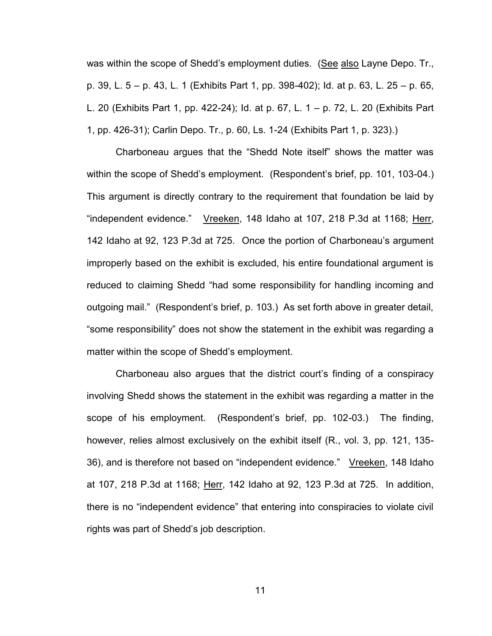was within the scope of Shedd's employment duties. (See also Layne Depo. Tr., p. 39, L. 5 – p. 43, L. 1 (Exhibits Part 1, pp. 398-402); Id. at p. 63, L. 25 – p. 65, L. 20 (Exhibits Part 1, pp. 422-24); Id. at p. 67, L. 1 – p. 72, L. 20 (Exhibits Part 1, pp. 426-31); Carlin Depo. Tr., p. 60, Ls. 1-24 (Exhibits Part 1, p. 323).)

Charboneau argues that the "Shedd Note itself" shows the matter was within the scope of Shedd's employment. (Respondent's brief, pp. 101, 103-04.) This argument is directly contrary to the requirement that foundation be laid by "independent evidence." Vreeken, 148 Idaho at 107, 218 P.3d at 1168; Herr, 142 Idaho at 92, 123 P.3d at 725. Once the portion of Charboneau's argument improperly based on the exhibit is excluded, his entire foundational argument is reduced to claiming Shedd "had some responsibility for handling incoming and outgoing mail." (Respondent's brief, p. 103.) As set forth above in greater detail, "some responsibility" does not show the statement in the exhibit was regarding a matter within the scope of Shedd's employment.

Charboneau also argues that the district court's finding of a conspiracy involving Shedd shows the statement in the exhibit was regarding a matter in the scope of his employment. (Respondent's brief, pp. 102-03.) The finding, however, relies almost exclusively on the exhibit itself (R., vol. 3, pp. 121, 135- 36), and is therefore not based on "independent evidence." Vreeken, 148 Idaho at 107, 218 P.3d at 1168; Herr, 142 Idaho at 92, 123 P.3d at 725. In addition, there is no "independent evidence" that entering into conspiracies to violate civil rights was part of Shedd's job description.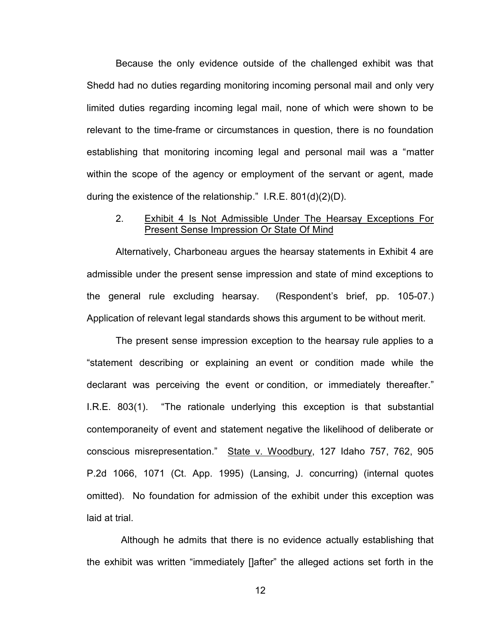Because the only evidence outside of the challenged exhibit was that Shedd had no duties regarding monitoring incoming personal mail and only very limited duties regarding incoming legal mail, none of which were shown to be relevant to the time-frame or circumstances in question, there is no foundation establishing that monitoring incoming legal and personal mail was a "matter within the scope of the agency or employment of the servant or agent, made during the existence of the relationship." I.R.E. 801(d)(2)(D).

### 2. Exhibit 4 Is Not Admissible Under The Hearsay Exceptions For **Present Sense Impression Or State Of Mind**

 Alternatively, Charboneau argues the hearsay statements in Exhibit 4 are admissible under the present sense impression and state of mind exceptions to the general rule excluding hearsay. (Respondent's brief, pp. 105-07.) Application of relevant legal standards shows this argument to be without merit.

The present sense impression exception to the hearsay rule applies to a "statement describing or explaining an event or condition made while the declarant was perceiving the event or condition, or immediately thereafter." I.R.E. 803(1). "The rationale underlying this exception is that substantial contemporaneity of event and statement negative the likelihood of deliberate or conscious misrepresentation." State v. Woodbury, 127 Idaho 757, 762, 905 P.2d 1066, 1071 (Ct. App. 1995) (Lansing, J. concurring) (internal quotes omitted). No foundation for admission of the exhibit under this exception was laid at trial.

 Although he admits that there is no evidence actually establishing that the exhibit was written "immediately []after" the alleged actions set forth in the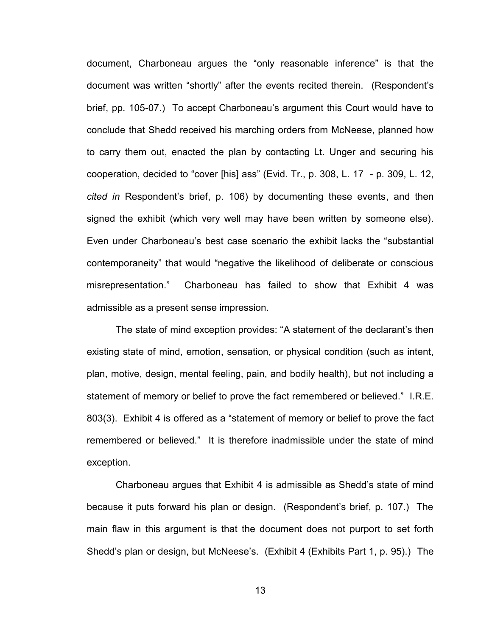document, Charboneau argues the "only reasonable inference" is that the document was written "shortly" after the events recited therein. (Respondent's brief, pp. 105-07.) To accept Charboneau's argument this Court would have to conclude that Shedd received his marching orders from McNeese, planned how to carry them out, enacted the plan by contacting Lt. Unger and securing his cooperation, decided to "cover [his] ass" (Evid. Tr., p. 308, L. 17 - p. 309, L. 12, *cited in* Respondent's brief, p. 106) by documenting these events, and then signed the exhibit (which very well may have been written by someone else). Even under Charboneau's best case scenario the exhibit lacks the "substantial contemporaneity" that would "negative the likelihood of deliberate or conscious misrepresentation." Charboneau has failed to show that Exhibit 4 was admissible as a present sense impression.

The state of mind exception provides: "A statement of the declarant's then existing state of mind, emotion, sensation, or physical condition (such as intent, plan, motive, design, mental feeling, pain, and bodily health), but not including a statement of memory or belief to prove the fact remembered or believed." I.R.E. 803(3). Exhibit 4 is offered as a "statement of memory or belief to prove the fact remembered or believed." It is therefore inadmissible under the state of mind exception.

Charboneau argues that Exhibit 4 is admissible as Shedd's state of mind because it puts forward his plan or design. (Respondent's brief, p. 107.) The main flaw in this argument is that the document does not purport to set forth Shedd's plan or design, but McNeese's. (Exhibit 4 (Exhibits Part 1, p. 95).) The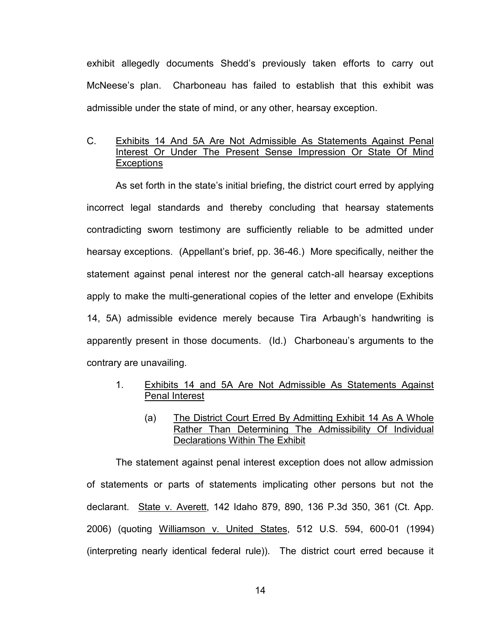exhibit allegedly documents Shedd's previously taken efforts to carry out McNeese's plan. Charboneau has failed to establish that this exhibit was admissible under the state of mind, or any other, hearsay exception.

# C. Exhibits 14 And 5A Are Not Admissible As Statements Against Penal Interest Or Under The Present Sense Impression Or State Of Mind **Exceptions**

 As set forth in the state's initial briefing, the district court erred by applying incorrect legal standards and thereby concluding that hearsay statements contradicting sworn testimony are sufficiently reliable to be admitted under hearsay exceptions. (Appellant's brief, pp. 36-46.) More specifically, neither the statement against penal interest nor the general catch-all hearsay exceptions apply to make the multi-generational copies of the letter and envelope (Exhibits 14, 5A) admissible evidence merely because Tira Arbaugh's handwriting is apparently present in those documents. (Id.) Charboneau's arguments to the contrary are unavailing.

- 1. Exhibits 14 and 5A Are Not Admissible As Statements Against Penal Interest
	- (a) The District Court Erred By Admitting Exhibit 14 As A Whole Rather Than Determining The Admissibility Of Individual Declarations Within The Exhibit

 The statement against penal interest exception does not allow admission of statements or parts of statements implicating other persons but not the declarant. State v. Averett, 142 Idaho 879, 890, 136 P.3d 350, 361 (Ct. App. 2006) (quoting Williamson v. United States, 512 U.S. 594, 600-01 (1994) (interpreting nearly identical federal rule)). The district court erred because it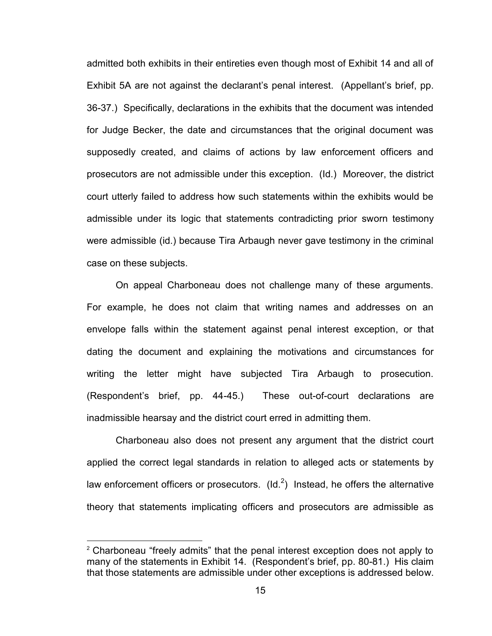admitted both exhibits in their entireties even though most of Exhibit 14 and all of Exhibit 5A are not against the declarant's penal interest. (Appellant's brief, pp. 36-37.) Specifically, declarations in the exhibits that the document was intended for Judge Becker, the date and circumstances that the original document was supposedly created, and claims of actions by law enforcement officers and prosecutors are not admissible under this exception. (Id.) Moreover, the district court utterly failed to address how such statements within the exhibits would be admissible under its logic that statements contradicting prior sworn testimony were admissible (id.) because Tira Arbaugh never gave testimony in the criminal case on these subjects.

 On appeal Charboneau does not challenge many of these arguments. For example, he does not claim that writing names and addresses on an envelope falls within the statement against penal interest exception, or that dating the document and explaining the motivations and circumstances for writing the letter might have subjected Tira Arbaugh to prosecution. (Respondent's brief, pp. 44-45.) These out-of-court declarations are inadmissible hearsay and the district court erred in admitting them.

Charboneau also does not present any argument that the district court applied the correct legal standards in relation to alleged acts or statements by law enforcement officers or prosecutors.  $(\mathsf{Id.}^2)$  Instead, he offers the alternative theory that statements implicating officers and prosecutors are admissible as

 $\overline{a}$ 

 $2$  Charboneau "freely admits" that the penal interest exception does not apply to many of the statements in Exhibit 14. (Respondent's brief, pp. 80-81.) His claim that those statements are admissible under other exceptions is addressed below.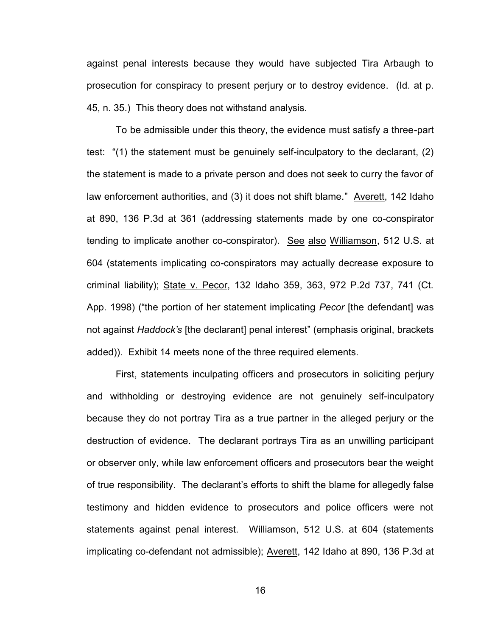against penal interests because they would have subjected Tira Arbaugh to prosecution for conspiracy to present perjury or to destroy evidence. (Id. at p. 45, n. 35.) This theory does not withstand analysis.

To be admissible under this theory, the evidence must satisfy a three-part test: "(1) the statement must be genuinely self-inculpatory to the declarant, (2) the statement is made to a private person and does not seek to curry the favor of law enforcement authorities, and (3) it does not shift blame." Averett, 142 Idaho at 890, 136 P.3d at 361 (addressing statements made by one co-conspirator tending to implicate another co-conspirator). See also Williamson, 512 U.S. at 604 (statements implicating co-conspirators may actually decrease exposure to criminal liability); State v. Pecor, 132 Idaho 359, 363, 972 P.2d 737, 741 (Ct. App. 1998) ("the portion of her statement implicating *Pecor* [the defendant] was not against *Haddock's* [the declarant] penal interest" (emphasis original, brackets added)). Exhibit 14 meets none of the three required elements.

First, statements inculpating officers and prosecutors in soliciting perjury and withholding or destroying evidence are not genuinely self-inculpatory because they do not portray Tira as a true partner in the alleged perjury or the destruction of evidence. The declarant portrays Tira as an unwilling participant or observer only, while law enforcement officers and prosecutors bear the weight of true responsibility. The declarant's efforts to shift the blame for allegedly false testimony and hidden evidence to prosecutors and police officers were not statements against penal interest. Williamson, 512 U.S. at 604 (statements implicating co-defendant not admissible); Averett, 142 Idaho at 890, 136 P.3d at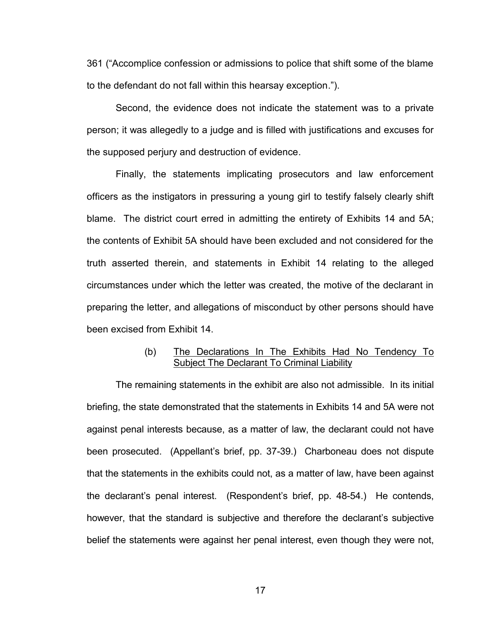361 ("Accomplice confession or admissions to police that shift some of the blame to the defendant do not fall within this hearsay exception.").

Second, the evidence does not indicate the statement was to a private person; it was allegedly to a judge and is filled with justifications and excuses for the supposed perjury and destruction of evidence.

Finally, the statements implicating prosecutors and law enforcement officers as the instigators in pressuring a young girl to testify falsely clearly shift blame. The district court erred in admitting the entirety of Exhibits 14 and 5A; the contents of Exhibit 5A should have been excluded and not considered for the truth asserted therein, and statements in Exhibit 14 relating to the alleged circumstances under which the letter was created, the motive of the declarant in preparing the letter, and allegations of misconduct by other persons should have been excised from Exhibit 14.

# (b) The Declarations In The Exhibits Had No Tendency To Subject The Declarant To Criminal Liability

 The remaining statements in the exhibit are also not admissible. In its initial briefing, the state demonstrated that the statements in Exhibits 14 and 5A were not against penal interests because, as a matter of law, the declarant could not have been prosecuted. (Appellant's brief, pp. 37-39.) Charboneau does not dispute that the statements in the exhibits could not, as a matter of law, have been against the declarant's penal interest. (Respondent's brief, pp. 48-54.) He contends, however, that the standard is subjective and therefore the declarant's subjective belief the statements were against her penal interest, even though they were not,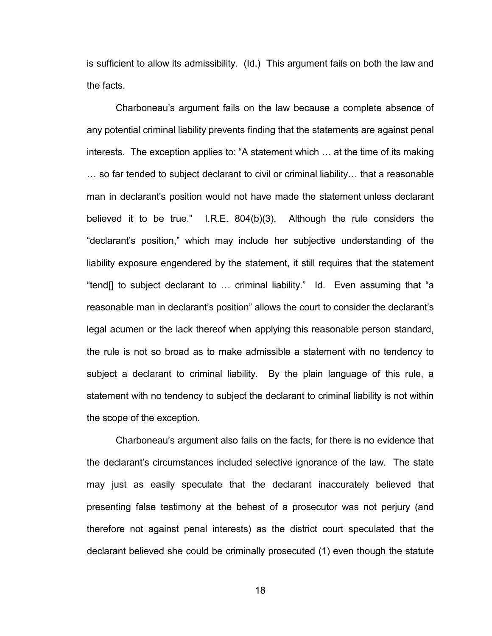is sufficient to allow its admissibility. (Id.) This argument fails on both the law and the facts.

 Charboneau's argument fails on the law because a complete absence of any potential criminal liability prevents finding that the statements are against penal interests. The exception applies to: "A statement which … at the time of its making … so far tended to subject declarant to civil or criminal liability… that a reasonable man in declarant's position would not have made the statement unless declarant believed it to be true." I.R.E. 804(b)(3). Although the rule considers the "declarant's position," which may include her subjective understanding of the liability exposure engendered by the statement, it still requires that the statement "tend[] to subject declarant to … criminal liability." Id. Even assuming that "a reasonable man in declarant's position" allows the court to consider the declarant's legal acumen or the lack thereof when applying this reasonable person standard, the rule is not so broad as to make admissible a statement with no tendency to subject a declarant to criminal liability. By the plain language of this rule, a statement with no tendency to subject the declarant to criminal liability is not within the scope of the exception.

 Charboneau's argument also fails on the facts, for there is no evidence that the declarant's circumstances included selective ignorance of the law. The state may just as easily speculate that the declarant inaccurately believed that presenting false testimony at the behest of a prosecutor was not perjury (and therefore not against penal interests) as the district court speculated that the declarant believed she could be criminally prosecuted (1) even though the statute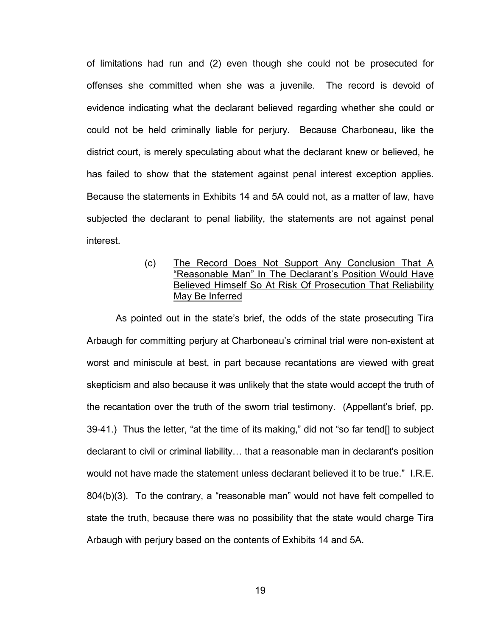of limitations had run and (2) even though she could not be prosecuted for offenses she committed when she was a juvenile. The record is devoid of evidence indicating what the declarant believed regarding whether she could or could not be held criminally liable for perjury. Because Charboneau, like the district court, is merely speculating about what the declarant knew or believed, he has failed to show that the statement against penal interest exception applies. Because the statements in Exhibits 14 and 5A could not, as a matter of law, have subjected the declarant to penal liability, the statements are not against penal interest.

# (c) The Record Does Not Support Any Conclusion That A "Reasonable Man" In The Declarant's Position Would Have Believed Himself So At Risk Of Prosecution That Reliability May Be Inferred

 As pointed out in the state's brief, the odds of the state prosecuting Tira Arbaugh for committing perjury at Charboneau's criminal trial were non-existent at worst and miniscule at best, in part because recantations are viewed with great skepticism and also because it was unlikely that the state would accept the truth of the recantation over the truth of the sworn trial testimony. (Appellant's brief, pp. 39-41.) Thus the letter, "at the time of its making," did not "so far tend[] to subject declarant to civil or criminal liability… that a reasonable man in declarant's position would not have made the statement unless declarant believed it to be true." I.R.E. 804(b)(3). To the contrary, a "reasonable man" would not have felt compelled to state the truth, because there was no possibility that the state would charge Tira Arbaugh with perjury based on the contents of Exhibits 14 and 5A.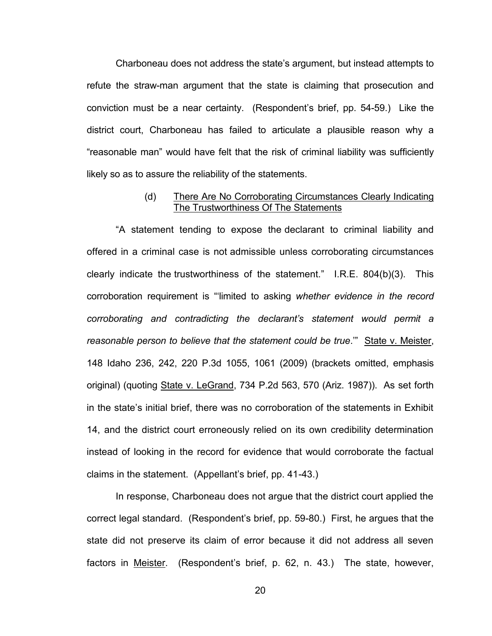Charboneau does not address the state's argument, but instead attempts to refute the straw-man argument that the state is claiming that prosecution and conviction must be a near certainty. (Respondent's brief, pp. 54-59.) Like the district court, Charboneau has failed to articulate a plausible reason why a "reasonable man" would have felt that the risk of criminal liability was sufficiently likely so as to assure the reliability of the statements.

### (d) There Are No Corroborating Circumstances Clearly Indicating The Trustworthiness Of The Statements

 "A statement tending to expose the declarant to criminal liability and offered in a criminal case is not admissible unless corroborating circumstances clearly indicate the trustworthiness of the statement." I.R.E. 804(b)(3). This corroboration requirement is "'limited to asking *whether evidence in the record corroborating and contradicting the declarant's statement would permit a reasonable person to believe that the statement could be true*.'" State v. Meister, 148 Idaho 236, 242, 220 P.3d 1055, 1061 (2009) (brackets omitted, emphasis original) (quoting State v. LeGrand, 734 P.2d 563, 570 (Ariz. 1987)). As set forth in the state's initial brief, there was no corroboration of the statements in Exhibit 14, and the district court erroneously relied on its own credibility determination instead of looking in the record for evidence that would corroborate the factual claims in the statement. (Appellant's brief, pp. 41-43.)

 In response, Charboneau does not argue that the district court applied the correct legal standard. (Respondent's brief, pp. 59-80.) First, he argues that the state did not preserve its claim of error because it did not address all seven factors in Meister. (Respondent's brief, p. 62, n. 43.) The state, however,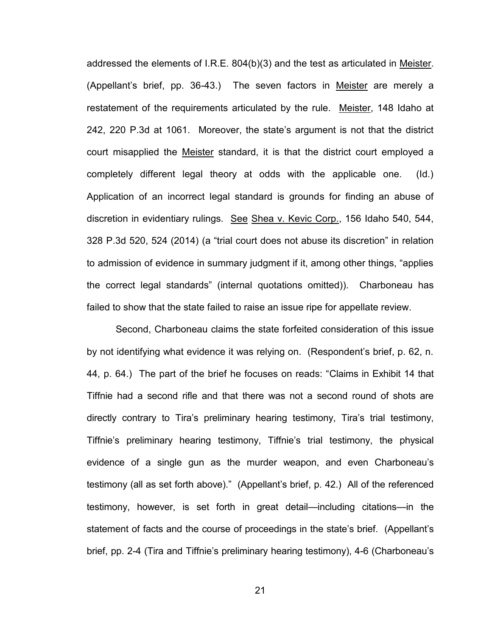addressed the elements of I.R.E. 804(b)(3) and the test as articulated in Meister. (Appellant's brief, pp. 36-43.) The seven factors in Meister are merely a restatement of the requirements articulated by the rule. Meister, 148 Idaho at 242, 220 P.3d at 1061. Moreover, the state's argument is not that the district court misapplied the Meister standard, it is that the district court employed a completely different legal theory at odds with the applicable one. (Id.) Application of an incorrect legal standard is grounds for finding an abuse of discretion in evidentiary rulings. See Shea v. Kevic Corp., 156 Idaho 540, 544, 328 P.3d 520, 524 (2014) (a "trial court does not abuse its discretion" in relation to admission of evidence in summary judgment if it, among other things, "applies the correct legal standards" (internal quotations omitted)). Charboneau has failed to show that the state failed to raise an issue ripe for appellate review.

Second, Charboneau claims the state forfeited consideration of this issue by not identifying what evidence it was relying on. (Respondent's brief, p. 62, n. 44, p. 64.) The part of the brief he focuses on reads: "Claims in Exhibit 14 that Tiffnie had a second rifle and that there was not a second round of shots are directly contrary to Tira's preliminary hearing testimony, Tira's trial testimony, Tiffnie's preliminary hearing testimony, Tiffnie's trial testimony, the physical evidence of a single gun as the murder weapon, and even Charboneau's testimony (all as set forth above)." (Appellant's brief, p. 42.) All of the referenced testimony, however, is set forth in great detail—including citations—in the statement of facts and the course of proceedings in the state's brief. (Appellant's brief, pp. 2-4 (Tira and Tiffnie's preliminary hearing testimony), 4-6 (Charboneau's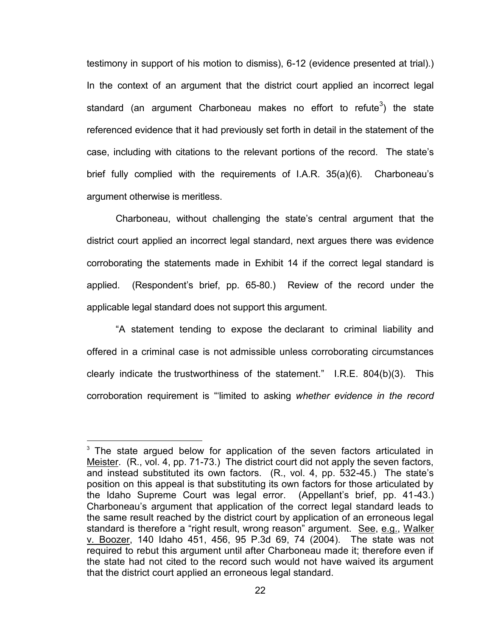testimony in support of his motion to dismiss), 6-12 (evidence presented at trial).) In the context of an argument that the district court applied an incorrect legal standard (an argument Charboneau makes no effort to refute $^3)$  the state referenced evidence that it had previously set forth in detail in the statement of the case, including with citations to the relevant portions of the record. The state's brief fully complied with the requirements of I.A.R. 35(a)(6). Charboneau's argument otherwise is meritless.

Charboneau, without challenging the state's central argument that the district court applied an incorrect legal standard, next argues there was evidence corroborating the statements made in Exhibit 14 if the correct legal standard is applied. (Respondent's brief, pp. 65-80.) Review of the record under the applicable legal standard does not support this argument.

"A statement tending to expose the declarant to criminal liability and offered in a criminal case is not admissible unless corroborating circumstances clearly indicate the trustworthiness of the statement." I.R.E. 804(b)(3). This corroboration requirement is "'limited to asking *whether evidence in the record* 

 $\overline{a}$ 

 $3$  The state argued below for application of the seven factors articulated in Meister. (R., vol. 4, pp. 71-73.) The district court did not apply the seven factors, and instead substituted its own factors. (R., vol. 4, pp. 532-45.) The state's position on this appeal is that substituting its own factors for those articulated by the Idaho Supreme Court was legal error. (Appellant's brief, pp. 41-43.) Charboneau's argument that application of the correct legal standard leads to the same result reached by the district court by application of an erroneous legal standard is therefore a "right result, wrong reason" argument. See, e.g., Walker v. Boozer, 140 Idaho 451, 456, 95 P.3d 69, 74 (2004). The state was not required to rebut this argument until after Charboneau made it; therefore even if the state had not cited to the record such would not have waived its argument that the district court applied an erroneous legal standard.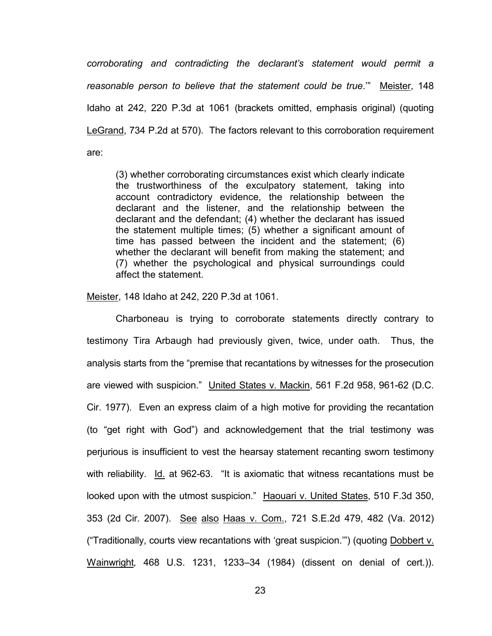*corroborating and contradicting the declarant's statement would permit a reasonable person to believe that the statement could be true*.'" Meister, 148 Idaho at 242, 220 P.3d at 1061 (brackets omitted, emphasis original) (quoting LeGrand, 734 P.2d at 570). The factors relevant to this corroboration requirement are:

(3) whether corroborating circumstances exist which clearly indicate the trustworthiness of the exculpatory statement, taking into account contradictory evidence, the relationship between the declarant and the listener, and the relationship between the declarant and the defendant; (4) whether the declarant has issued the statement multiple times; (5) whether a significant amount of time has passed between the incident and the statement; (6) whether the declarant will benefit from making the statement; and (7) whether the psychological and physical surroundings could affect the statement.

Meister, 148 Idaho at 242, 220 P.3d at 1061.

 Charboneau is trying to corroborate statements directly contrary to testimony Tira Arbaugh had previously given, twice, under oath. Thus, the analysis starts from the "premise that recantations by witnesses for the prosecution are viewed with suspicion." United States v. Mackin, 561 F.2d 958, 961-62 (D.C. Cir. 1977). Even an express claim of a high motive for providing the recantation (to "get right with God") and acknowledgement that the trial testimony was perjurious is insufficient to vest the hearsay statement recanting sworn testimony with reliability. Id. at 962-63. "It is axiomatic that witness recantations must be looked upon with the utmost suspicion." Haouari v. United States, 510 F.3d 350, 353 (2d Cir. 2007). See also Haas v. Com., 721 S.E.2d 479, 482 (Va. 2012) ("Traditionally, courts view recantations with 'great suspicion.'") (quoting Dobbert v. Wainwright*,* 468 U.S. 1231, 1233–34 (1984) (dissent on denial of cert.)).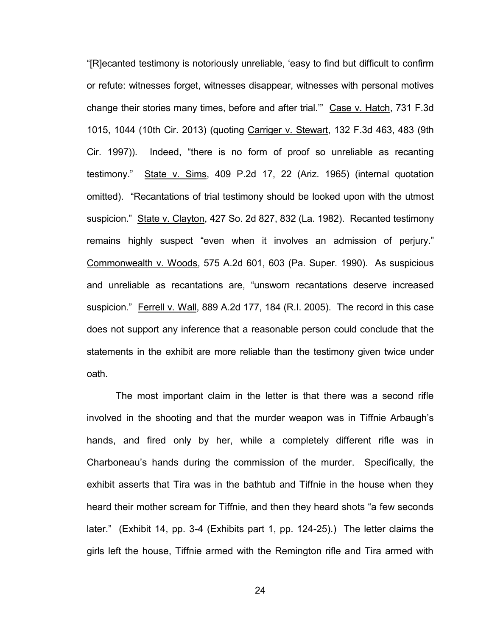"[R]ecanted testimony is notoriously unreliable, 'easy to find but difficult to confirm or refute: witnesses forget, witnesses disappear, witnesses with personal motives change their stories many times, before and after trial.'" Case v. Hatch, 731 F.3d 1015, 1044 (10th Cir. 2013) (quoting Carriger v. Stewart, 132 F.3d 463, 483 (9th Cir. 1997)). Indeed, "there is no form of proof so unreliable as recanting testimony." State v. Sims, 409 P.2d 17, 22 (Ariz. 1965) (internal quotation omitted). "Recantations of trial testimony should be looked upon with the utmost suspicion." State v. Clayton, 427 So. 2d 827, 832 (La. 1982). Recanted testimony remains highly suspect "even when it involves an admission of perjury." Commonwealth v. Woods, 575 A.2d 601, 603 (Pa. Super. 1990). As suspicious and unreliable as recantations are, "unsworn recantations deserve increased suspicion." Ferrell v. Wall, 889 A.2d 177, 184 (R.I. 2005). The record in this case does not support any inference that a reasonable person could conclude that the statements in the exhibit are more reliable than the testimony given twice under oath.

The most important claim in the letter is that there was a second rifle involved in the shooting and that the murder weapon was in Tiffnie Arbaugh's hands, and fired only by her, while a completely different rifle was in Charboneau's hands during the commission of the murder. Specifically, the exhibit asserts that Tira was in the bathtub and Tiffnie in the house when they heard their mother scream for Tiffnie, and then they heard shots "a few seconds later." (Exhibit 14, pp. 3-4 (Exhibits part 1, pp. 124-25).) The letter claims the girls left the house, Tiffnie armed with the Remington rifle and Tira armed with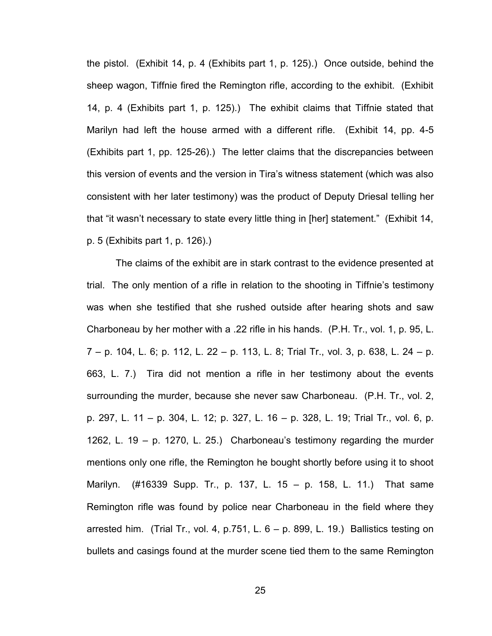the pistol. (Exhibit 14, p. 4 (Exhibits part 1, p. 125).) Once outside, behind the sheep wagon, Tiffnie fired the Remington rifle, according to the exhibit. (Exhibit 14, p. 4 (Exhibits part 1, p. 125).) The exhibit claims that Tiffnie stated that Marilyn had left the house armed with a different rifle. (Exhibit 14, pp. 4-5 (Exhibits part 1, pp. 125-26).) The letter claims that the discrepancies between this version of events and the version in Tira's witness statement (which was also consistent with her later testimony) was the product of Deputy Driesal telling her that "it wasn't necessary to state every little thing in [her] statement." (Exhibit 14, p. 5 (Exhibits part 1, p. 126).)

The claims of the exhibit are in stark contrast to the evidence presented at trial. The only mention of a rifle in relation to the shooting in Tiffnie's testimony was when she testified that she rushed outside after hearing shots and saw Charboneau by her mother with a .22 rifle in his hands. (P.H. Tr., vol. 1, p. 95, L. 7 – p. 104, L. 6; p. 112, L. 22 – p. 113, L. 8; Trial Tr., vol. 3, p. 638, L. 24 – p. 663, L. 7.) Tira did not mention a rifle in her testimony about the events surrounding the murder, because she never saw Charboneau. (P.H. Tr., vol. 2, p. 297, L. 11 – p. 304, L. 12; p. 327, L. 16 – p. 328, L. 19; Trial Tr., vol. 6, p. 1262, L. 19 – p. 1270, L. 25.) Charboneau's testimony regarding the murder mentions only one rifle, the Remington he bought shortly before using it to shoot Marilyn. (#16339 Supp. Tr., p. 137, L. 15 – p. 158, L. 11.) That same Remington rifle was found by police near Charboneau in the field where they arrested him. (Trial Tr., vol. 4, p.751, L.  $6 - p$ . 899, L. 19.) Ballistics testing on bullets and casings found at the murder scene tied them to the same Remington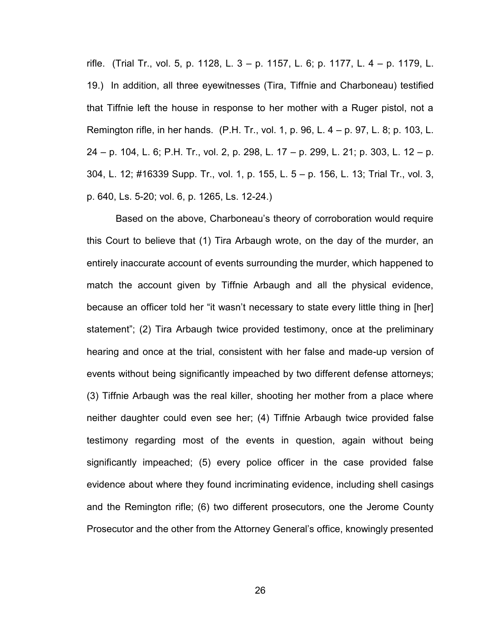rifle. (Trial Tr., vol. 5, p. 1128, L. 3 – p. 1157, L. 6; p. 1177, L. 4 – p. 1179, L. 19.) In addition, all three eyewitnesses (Tira, Tiffnie and Charboneau) testified that Tiffnie left the house in response to her mother with a Ruger pistol, not a Remington rifle, in her hands. (P.H. Tr., vol. 1, p. 96, L. 4 – p. 97, L. 8; p. 103, L. 24 – p. 104, L. 6; P.H. Tr., vol. 2, p. 298, L. 17 – p. 299, L. 21; p. 303, L. 12 – p. 304, L. 12; #16339 Supp. Tr., vol. 1, p. 155, L. 5 – p. 156, L. 13; Trial Tr., vol. 3, p. 640, Ls. 5-20; vol. 6, p. 1265, Ls. 12-24.)

Based on the above, Charboneau's theory of corroboration would require this Court to believe that (1) Tira Arbaugh wrote, on the day of the murder, an entirely inaccurate account of events surrounding the murder, which happened to match the account given by Tiffnie Arbaugh and all the physical evidence, because an officer told her "it wasn't necessary to state every little thing in [her] statement"; (2) Tira Arbaugh twice provided testimony, once at the preliminary hearing and once at the trial, consistent with her false and made-up version of events without being significantly impeached by two different defense attorneys; (3) Tiffnie Arbaugh was the real killer, shooting her mother from a place where neither daughter could even see her; (4) Tiffnie Arbaugh twice provided false testimony regarding most of the events in question, again without being significantly impeached; (5) every police officer in the case provided false evidence about where they found incriminating evidence, including shell casings and the Remington rifle; (6) two different prosecutors, one the Jerome County Prosecutor and the other from the Attorney General's office, knowingly presented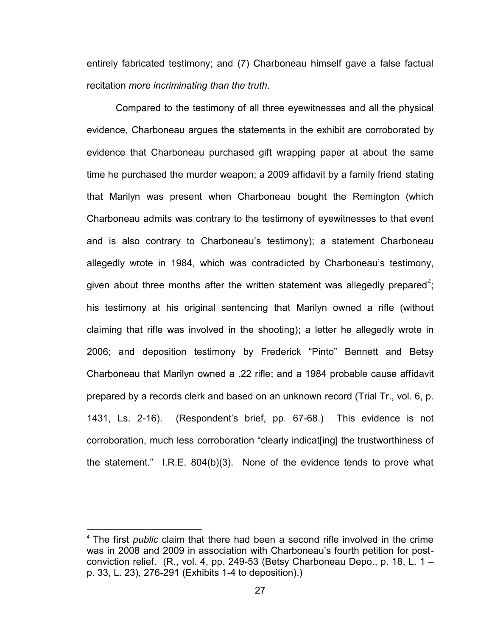entirely fabricated testimony; and (7) Charboneau himself gave a false factual recitation *more incriminating than the truth*.

Compared to the testimony of all three eyewitnesses and all the physical evidence, Charboneau argues the statements in the exhibit are corroborated by evidence that Charboneau purchased gift wrapping paper at about the same time he purchased the murder weapon; a 2009 affidavit by a family friend stating that Marilyn was present when Charboneau bought the Remington (which Charboneau admits was contrary to the testimony of eyewitnesses to that event and is also contrary to Charboneau's testimony); a statement Charboneau allegedly wrote in 1984, which was contradicted by Charboneau's testimony, given about three months after the written statement was allegedly prepared $^4;$ his testimony at his original sentencing that Marilyn owned a rifle (without claiming that rifle was involved in the shooting); a letter he allegedly wrote in 2006; and deposition testimony by Frederick "Pinto" Bennett and Betsy Charboneau that Marilyn owned a .22 rifle; and a 1984 probable cause affidavit prepared by a records clerk and based on an unknown record (Trial Tr., vol. 6, p. 1431, Ls. 2-16). (Respondent's brief, pp. 67-68.) This evidence is not corroboration, much less corroboration "clearly indicat[ing] the trustworthiness of the statement." I.R.E. 804(b)(3). None of the evidence tends to prove what

 $\overline{a}$ 

<sup>4</sup> The first *public* claim that there had been a second rifle involved in the crime was in 2008 and 2009 in association with Charboneau's fourth petition for postconviction relief. (R., vol. 4, pp. 249-53 (Betsy Charboneau Depo., p. 18, L. 1 – p. 33, L. 23), 276-291 (Exhibits 1-4 to deposition).)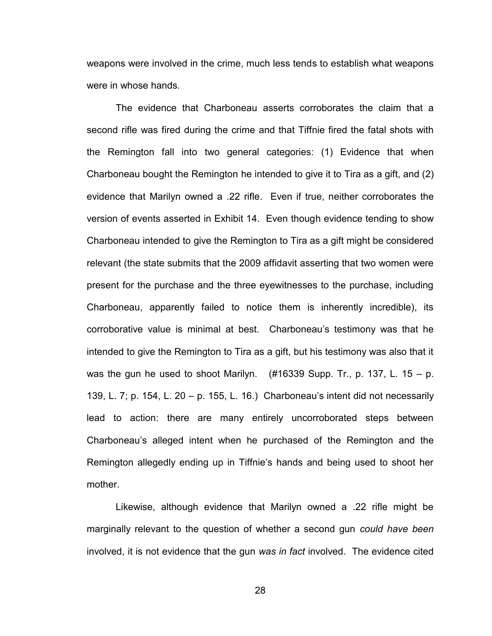weapons were involved in the crime, much less tends to establish what weapons were in whose hands.

The evidence that Charboneau asserts corroborates the claim that a second rifle was fired during the crime and that Tiffnie fired the fatal shots with the Remington fall into two general categories: (1) Evidence that when Charboneau bought the Remington he intended to give it to Tira as a gift, and (2) evidence that Marilyn owned a .22 rifle. Even if true, neither corroborates the version of events asserted in Exhibit 14. Even though evidence tending to show Charboneau intended to give the Remington to Tira as a gift might be considered relevant (the state submits that the 2009 affidavit asserting that two women were present for the purchase and the three eyewitnesses to the purchase, including Charboneau, apparently failed to notice them is inherently incredible), its corroborative value is minimal at best. Charboneau's testimony was that he intended to give the Remington to Tira as a gift, but his testimony was also that it was the gun he used to shoot Marilyn.  $(#16339$  Supp. Tr., p. 137, L. 15 – p. 139, L. 7; p. 154, L. 20 – p. 155, L. 16.) Charboneau's intent did not necessarily lead to action: there are many entirely uncorroborated steps between Charboneau's alleged intent when he purchased of the Remington and the Remington allegedly ending up in Tiffnie's hands and being used to shoot her mother.

Likewise, although evidence that Marilyn owned a .22 rifle might be marginally relevant to the question of whether a second gun *could have been* involved, it is not evidence that the gun *was in fact* involved. The evidence cited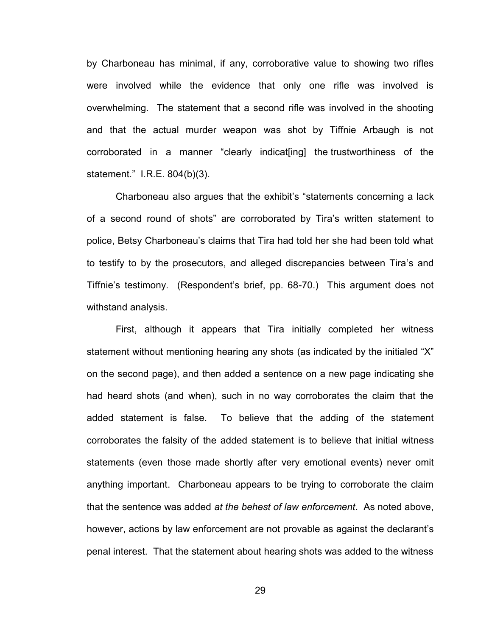by Charboneau has minimal, if any, corroborative value to showing two rifles were involved while the evidence that only one rifle was involved is overwhelming. The statement that a second rifle was involved in the shooting and that the actual murder weapon was shot by Tiffnie Arbaugh is not corroborated in a manner "clearly indicat[ing] the trustworthiness of the statement." I.R.E. 804(b)(3).

Charboneau also argues that the exhibit's "statements concerning a lack of a second round of shots" are corroborated by Tira's written statement to police, Betsy Charboneau's claims that Tira had told her she had been told what to testify to by the prosecutors, and alleged discrepancies between Tira's and Tiffnie's testimony. (Respondent's brief, pp. 68-70.) This argument does not withstand analysis.

First, although it appears that Tira initially completed her witness statement without mentioning hearing any shots (as indicated by the initialed "X" on the second page), and then added a sentence on a new page indicating she had heard shots (and when), such in no way corroborates the claim that the added statement is false. To believe that the adding of the statement corroborates the falsity of the added statement is to believe that initial witness statements (even those made shortly after very emotional events) never omit anything important. Charboneau appears to be trying to corroborate the claim that the sentence was added *at the behest of law enforcement*. As noted above, however, actions by law enforcement are not provable as against the declarant's penal interest. That the statement about hearing shots was added to the witness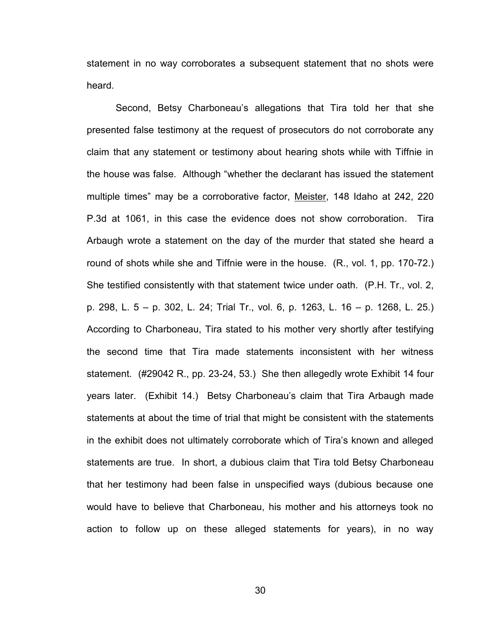statement in no way corroborates a subsequent statement that no shots were heard.

Second, Betsy Charboneau's allegations that Tira told her that she presented false testimony at the request of prosecutors do not corroborate any claim that any statement or testimony about hearing shots while with Tiffnie in the house was false. Although "whether the declarant has issued the statement multiple times" may be a corroborative factor, Meister, 148 Idaho at 242, 220 P.3d at 1061, in this case the evidence does not show corroboration. Tira Arbaugh wrote a statement on the day of the murder that stated she heard a round of shots while she and Tiffnie were in the house. (R., vol. 1, pp. 170-72.) She testified consistently with that statement twice under oath. (P.H. Tr., vol. 2, p. 298, L. 5 – p. 302, L. 24; Trial Tr., vol. 6, p. 1263, L. 16 – p. 1268, L. 25.) According to Charboneau, Tira stated to his mother very shortly after testifying the second time that Tira made statements inconsistent with her witness statement. (#29042 R., pp. 23-24, 53.) She then allegedly wrote Exhibit 14 four years later. (Exhibit 14.) Betsy Charboneau's claim that Tira Arbaugh made statements at about the time of trial that might be consistent with the statements in the exhibit does not ultimately corroborate which of Tira's known and alleged statements are true. In short, a dubious claim that Tira told Betsy Charboneau that her testimony had been false in unspecified ways (dubious because one would have to believe that Charboneau, his mother and his attorneys took no action to follow up on these alleged statements for years), in no way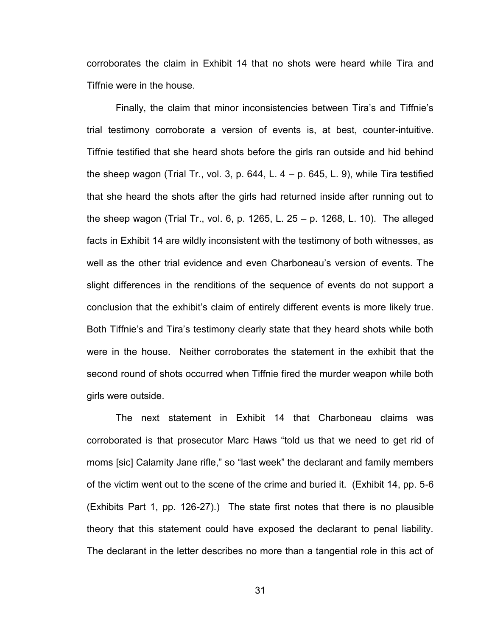corroborates the claim in Exhibit 14 that no shots were heard while Tira and Tiffnie were in the house.

Finally, the claim that minor inconsistencies between Tira's and Tiffnie's trial testimony corroborate a version of events is, at best, counter-intuitive. Tiffnie testified that she heard shots before the girls ran outside and hid behind the sheep wagon (Trial Tr., vol. 3, p. 644, L.  $4 - p$ . 645, L. 9), while Tira testified that she heard the shots after the girls had returned inside after running out to the sheep wagon (Trial Tr., vol. 6, p. 1265, L. 25 – p. 1268, L. 10). The alleged facts in Exhibit 14 are wildly inconsistent with the testimony of both witnesses, as well as the other trial evidence and even Charboneau's version of events. The slight differences in the renditions of the sequence of events do not support a conclusion that the exhibit's claim of entirely different events is more likely true. Both Tiffnie's and Tira's testimony clearly state that they heard shots while both were in the house. Neither corroborates the statement in the exhibit that the second round of shots occurred when Tiffnie fired the murder weapon while both girls were outside.

The next statement in Exhibit 14 that Charboneau claims was corroborated is that prosecutor Marc Haws "told us that we need to get rid of moms [sic] Calamity Jane rifle," so "last week" the declarant and family members of the victim went out to the scene of the crime and buried it. (Exhibit 14, pp. 5-6 (Exhibits Part 1, pp. 126-27).) The state first notes that there is no plausible theory that this statement could have exposed the declarant to penal liability. The declarant in the letter describes no more than a tangential role in this act of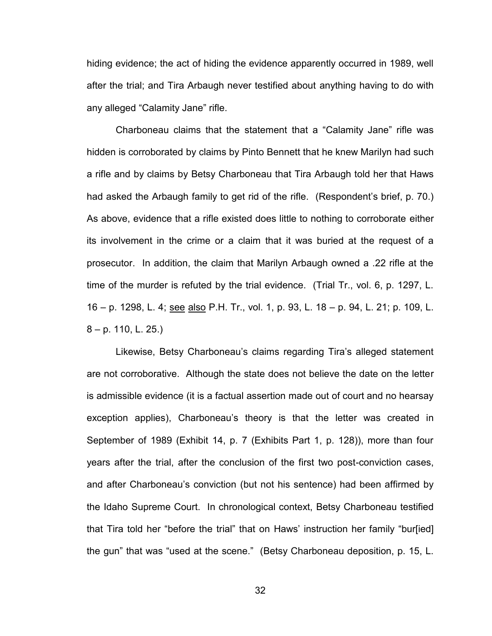hiding evidence; the act of hiding the evidence apparently occurred in 1989, well after the trial; and Tira Arbaugh never testified about anything having to do with any alleged "Calamity Jane" rifle.

Charboneau claims that the statement that a "Calamity Jane" rifle was hidden is corroborated by claims by Pinto Bennett that he knew Marilyn had such a rifle and by claims by Betsy Charboneau that Tira Arbaugh told her that Haws had asked the Arbaugh family to get rid of the rifle. (Respondent's brief, p. 70.) As above, evidence that a rifle existed does little to nothing to corroborate either its involvement in the crime or a claim that it was buried at the request of a prosecutor. In addition, the claim that Marilyn Arbaugh owned a .22 rifle at the time of the murder is refuted by the trial evidence. (Trial Tr., vol. 6, p. 1297, L. 16 – p. 1298, L. 4; see also P.H. Tr., vol. 1, p. 93, L. 18 – p. 94, L. 21; p. 109, L. 8 – p. 110, L. 25.)

Likewise, Betsy Charboneau's claims regarding Tira's alleged statement are not corroborative. Although the state does not believe the date on the letter is admissible evidence (it is a factual assertion made out of court and no hearsay exception applies), Charboneau's theory is that the letter was created in September of 1989 (Exhibit 14, p. 7 (Exhibits Part 1, p. 128)), more than four years after the trial, after the conclusion of the first two post-conviction cases, and after Charboneau's conviction (but not his sentence) had been affirmed by the Idaho Supreme Court. In chronological context, Betsy Charboneau testified that Tira told her "before the trial" that on Haws' instruction her family "bur[ied] the gun" that was "used at the scene." (Betsy Charboneau deposition, p. 15, L.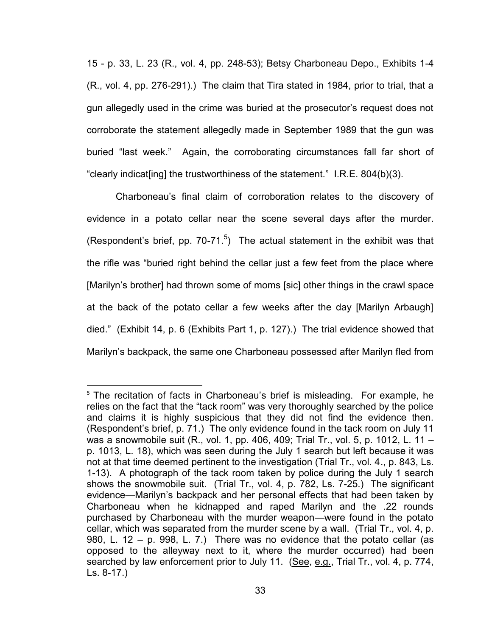15 - p. 33, L. 23 (R., vol. 4, pp. 248-53); Betsy Charboneau Depo., Exhibits 1-4 (R., vol. 4, pp. 276-291).) The claim that Tira stated in 1984, prior to trial, that a gun allegedly used in the crime was buried at the prosecutor's request does not corroborate the statement allegedly made in September 1989 that the gun was buried "last week." Again, the corroborating circumstances fall far short of "clearly indicat[ing] the trustworthiness of the statement." I.R.E. 804(b)(3).

Charboneau's final claim of corroboration relates to the discovery of evidence in a potato cellar near the scene several days after the murder. (Respondent's brief, pp. 70-71.<sup>5</sup>) The actual statement in the exhibit was that the rifle was "buried right behind the cellar just a few feet from the place where [Marilyn's brother] had thrown some of moms [sic] other things in the crawl space at the back of the potato cellar a few weeks after the day [Marilyn Arbaugh] died." (Exhibit 14, p. 6 (Exhibits Part 1, p. 127).) The trial evidence showed that Marilyn's backpack, the same one Charboneau possessed after Marilyn fled from

 $\overline{a}$ 

<sup>&</sup>lt;sup>5</sup> The recitation of facts in Charboneau's brief is misleading. For example, he relies on the fact that the "tack room" was very thoroughly searched by the police and claims it is highly suspicious that they did not find the evidence then. (Respondent's brief, p. 71.) The only evidence found in the tack room on July 11 was a snowmobile suit (R., vol. 1, pp. 406, 409; Trial Tr., vol. 5, p. 1012, L. 11 – p. 1013, L. 18), which was seen during the July 1 search but left because it was not at that time deemed pertinent to the investigation (Trial Tr., vol. 4., p. 843, Ls. 1-13). A photograph of the tack room taken by police during the July 1 search shows the snowmobile suit. (Trial Tr., vol. 4, p. 782, Ls. 7-25.) The significant evidence—Marilyn's backpack and her personal effects that had been taken by Charboneau when he kidnapped and raped Marilyn and the .22 rounds purchased by Charboneau with the murder weapon—were found in the potato cellar, which was separated from the murder scene by a wall. (Trial Tr., vol. 4, p. 980, L. 12 – p. 998, L. 7.) There was no evidence that the potato cellar (as opposed to the alleyway next to it, where the murder occurred) had been searched by law enforcement prior to July 11. (See, e.g., Trial Tr., vol. 4, p. 774, Ls. 8-17.)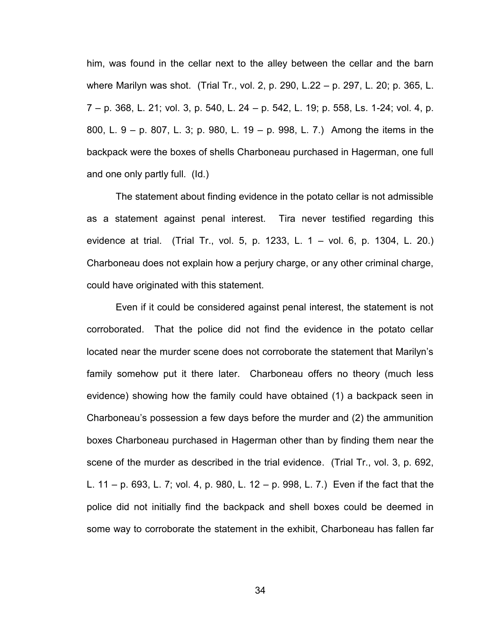him, was found in the cellar next to the alley between the cellar and the barn where Marilyn was shot. (Trial Tr., vol. 2, p. 290, L.22 – p. 297, L. 20; p. 365, L. 7 – p. 368, L. 21; vol. 3, p. 540, L. 24 – p. 542, L. 19; p. 558, Ls. 1-24; vol. 4, p. 800, L. 9 – p. 807, L. 3; p. 980, L. 19 – p. 998, L. 7.) Among the items in the backpack were the boxes of shells Charboneau purchased in Hagerman, one full and one only partly full. (Id.)

The statement about finding evidence in the potato cellar is not admissible as a statement against penal interest. Tira never testified regarding this evidence at trial. (Trial Tr., vol. 5, p. 1233, L. 1 – vol. 6, p. 1304, L. 20.) Charboneau does not explain how a perjury charge, or any other criminal charge, could have originated with this statement.

Even if it could be considered against penal interest, the statement is not corroborated. That the police did not find the evidence in the potato cellar located near the murder scene does not corroborate the statement that Marilyn's family somehow put it there later. Charboneau offers no theory (much less evidence) showing how the family could have obtained (1) a backpack seen in Charboneau's possession a few days before the murder and (2) the ammunition boxes Charboneau purchased in Hagerman other than by finding them near the scene of the murder as described in the trial evidence. (Trial Tr., vol. 3, p. 692, L. 11 – p. 693, L. 7; vol. 4, p. 980, L. 12 – p. 998, L. 7.) Even if the fact that the police did not initially find the backpack and shell boxes could be deemed in some way to corroborate the statement in the exhibit, Charboneau has fallen far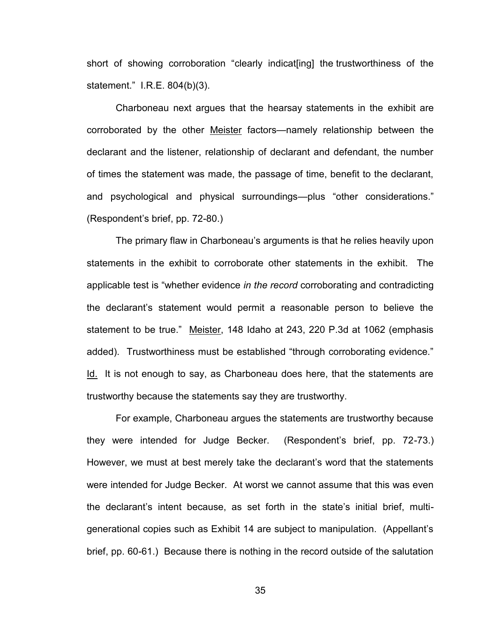short of showing corroboration "clearly indicat[ing] the trustworthiness of the statement." I.R.E. 804(b)(3).

Charboneau next argues that the hearsay statements in the exhibit are corroborated by the other Meister factors—namely relationship between the declarant and the listener, relationship of declarant and defendant, the number of times the statement was made, the passage of time, benefit to the declarant, and psychological and physical surroundings—plus "other considerations." (Respondent's brief, pp. 72-80.)

The primary flaw in Charboneau's arguments is that he relies heavily upon statements in the exhibit to corroborate other statements in the exhibit. The applicable test is "whether evidence *in the record* corroborating and contradicting the declarant's statement would permit a reasonable person to believe the statement to be true." Meister, 148 Idaho at 243, 220 P.3d at 1062 (emphasis added). Trustworthiness must be established "through corroborating evidence." Id. It is not enough to say, as Charboneau does here, that the statements are trustworthy because the statements say they are trustworthy.

For example, Charboneau argues the statements are trustworthy because they were intended for Judge Becker. (Respondent's brief, pp. 72-73.) However, we must at best merely take the declarant's word that the statements were intended for Judge Becker. At worst we cannot assume that this was even the declarant's intent because, as set forth in the state's initial brief, multigenerational copies such as Exhibit 14 are subject to manipulation. (Appellant's brief, pp. 60-61.) Because there is nothing in the record outside of the salutation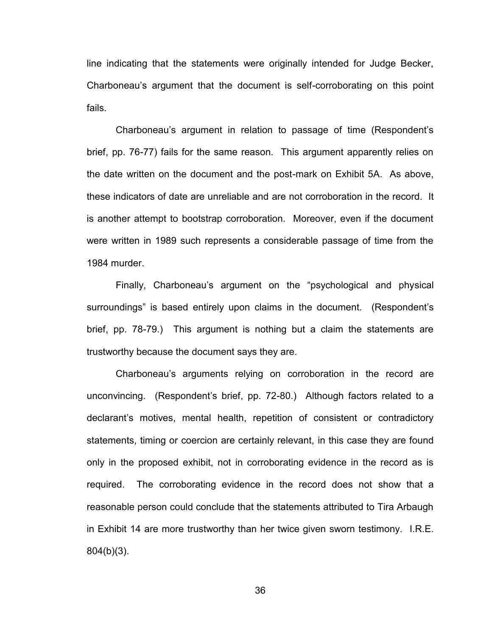line indicating that the statements were originally intended for Judge Becker, Charboneau's argument that the document is self-corroborating on this point fails.

Charboneau's argument in relation to passage of time (Respondent's brief, pp. 76-77) fails for the same reason. This argument apparently relies on the date written on the document and the post-mark on Exhibit 5A. As above, these indicators of date are unreliable and are not corroboration in the record. It is another attempt to bootstrap corroboration. Moreover, even if the document were written in 1989 such represents a considerable passage of time from the 1984 murder.

Finally, Charboneau's argument on the "psychological and physical surroundings" is based entirely upon claims in the document. (Respondent's brief, pp. 78-79.) This argument is nothing but a claim the statements are trustworthy because the document says they are.

Charboneau's arguments relying on corroboration in the record are unconvincing. (Respondent's brief, pp. 72-80.) Although factors related to a declarant's motives, mental health, repetition of consistent or contradictory statements, timing or coercion are certainly relevant, in this case they are found only in the proposed exhibit, not in corroborating evidence in the record as is required. The corroborating evidence in the record does not show that a reasonable person could conclude that the statements attributed to Tira Arbaugh in Exhibit 14 are more trustworthy than her twice given sworn testimony. I.R.E. 804(b)(3).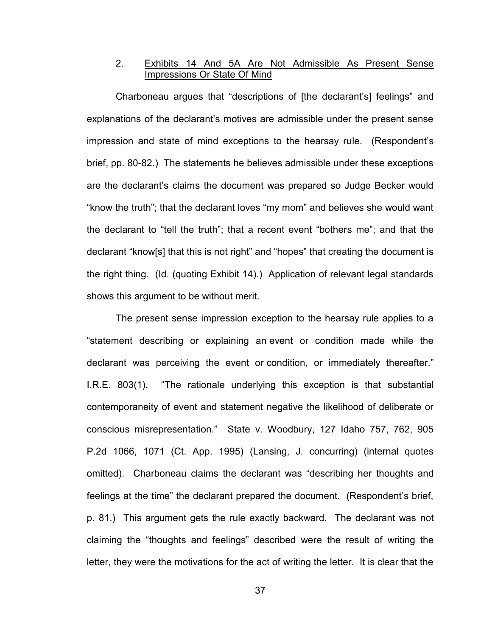# 2. Exhibits 14 And 5A Are Not Admissible As Present Sense Impressions Or State Of Mind

Charboneau argues that "descriptions of [the declarant's] feelings" and explanations of the declarant's motives are admissible under the present sense impression and state of mind exceptions to the hearsay rule. (Respondent's brief, pp. 80-82.) The statements he believes admissible under these exceptions are the declarant's claims the document was prepared so Judge Becker would "know the truth"; that the declarant loves "my mom" and believes she would want the declarant to "tell the truth"; that a recent event "bothers me"; and that the declarant "know[s] that this is not right" and "hopes" that creating the document is the right thing. (Id. (quoting Exhibit 14).) Application of relevant legal standards shows this argument to be without merit.

The present sense impression exception to the hearsay rule applies to a "statement describing or explaining an event or condition made while the declarant was perceiving the event or condition, or immediately thereafter." I.R.E. 803(1). "The rationale underlying this exception is that substantial contemporaneity of event and statement negative the likelihood of deliberate or conscious misrepresentation." State v. Woodbury, 127 Idaho 757, 762, 905 P.2d 1066, 1071 (Ct. App. 1995) (Lansing, J. concurring) (internal quotes omitted). Charboneau claims the declarant was "describing her thoughts and feelings at the time" the declarant prepared the document. (Respondent's brief, p. 81.) This argument gets the rule exactly backward. The declarant was not claiming the "thoughts and feelings" described were the result of writing the letter, they were the motivations for the act of writing the letter. It is clear that the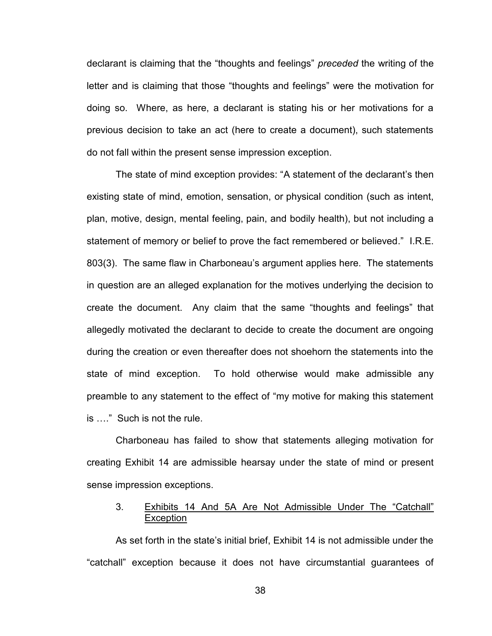declarant is claiming that the "thoughts and feelings" *preceded* the writing of the letter and is claiming that those "thoughts and feelings" were the motivation for doing so. Where, as here, a declarant is stating his or her motivations for a previous decision to take an act (here to create a document), such statements do not fall within the present sense impression exception.

The state of mind exception provides: "A statement of the declarant's then existing state of mind, emotion, sensation, or physical condition (such as intent, plan, motive, design, mental feeling, pain, and bodily health), but not including a statement of memory or belief to prove the fact remembered or believed." I.R.E. 803(3). The same flaw in Charboneau's argument applies here. The statements in question are an alleged explanation for the motives underlying the decision to create the document. Any claim that the same "thoughts and feelings" that allegedly motivated the declarant to decide to create the document are ongoing during the creation or even thereafter does not shoehorn the statements into the state of mind exception. To hold otherwise would make admissible any preamble to any statement to the effect of "my motive for making this statement is …." Such is not the rule.

Charboneau has failed to show that statements alleging motivation for creating Exhibit 14 are admissible hearsay under the state of mind or present sense impression exceptions.

# 3. Exhibits 14 And 5A Are Not Admissible Under The "Catchall" **Exception**

As set forth in the state's initial brief, Exhibit 14 is not admissible under the "catchall" exception because it does not have circumstantial guarantees of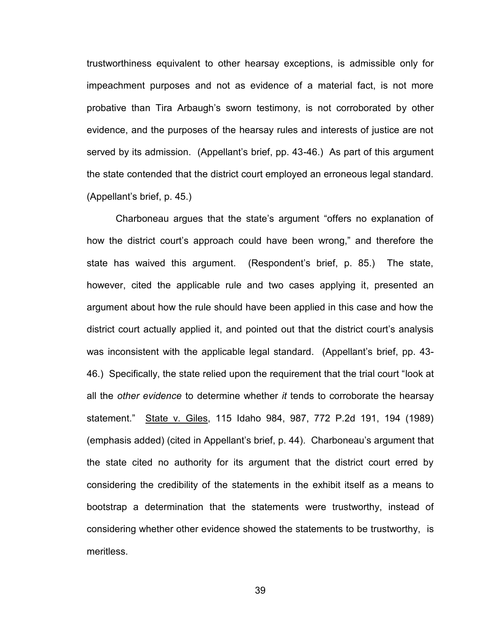trustworthiness equivalent to other hearsay exceptions, is admissible only for impeachment purposes and not as evidence of a material fact, is not more probative than Tira Arbaugh's sworn testimony, is not corroborated by other evidence, and the purposes of the hearsay rules and interests of justice are not served by its admission. (Appellant's brief, pp. 43-46.) As part of this argument the state contended that the district court employed an erroneous legal standard. (Appellant's brief, p. 45.)

Charboneau argues that the state's argument "offers no explanation of how the district court's approach could have been wrong," and therefore the state has waived this argument. (Respondent's brief, p. 85.) The state, however, cited the applicable rule and two cases applying it, presented an argument about how the rule should have been applied in this case and how the district court actually applied it, and pointed out that the district court's analysis was inconsistent with the applicable legal standard. (Appellant's brief, pp. 43- 46.) Specifically, the state relied upon the requirement that the trial court "look at all the *other evidence* to determine whether *it* tends to corroborate the hearsay statement." State v. Giles, 115 Idaho 984, 987, 772 P.2d 191, 194 (1989) (emphasis added) (cited in Appellant's brief, p. 44). Charboneau's argument that the state cited no authority for its argument that the district court erred by considering the credibility of the statements in the exhibit itself as a means to bootstrap a determination that the statements were trustworthy, instead of considering whether other evidence showed the statements to be trustworthy, is meritless.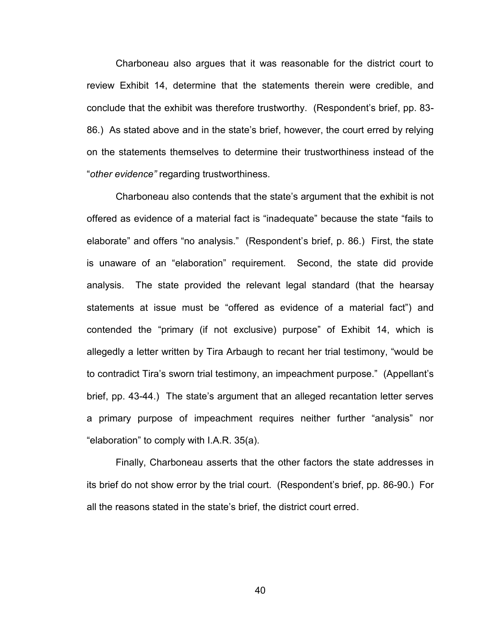Charboneau also argues that it was reasonable for the district court to review Exhibit 14, determine that the statements therein were credible, and conclude that the exhibit was therefore trustworthy. (Respondent's brief, pp. 83- 86.) As stated above and in the state's brief, however, the court erred by relying on the statements themselves to determine their trustworthiness instead of the "*other evidence"* regarding trustworthiness.

Charboneau also contends that the state's argument that the exhibit is not offered as evidence of a material fact is "inadequate" because the state "fails to elaborate" and offers "no analysis." (Respondent's brief, p. 86.) First, the state is unaware of an "elaboration" requirement. Second, the state did provide analysis. The state provided the relevant legal standard (that the hearsay statements at issue must be "offered as evidence of a material fact") and contended the "primary (if not exclusive) purpose" of Exhibit 14, which is allegedly a letter written by Tira Arbaugh to recant her trial testimony, "would be to contradict Tira's sworn trial testimony, an impeachment purpose." (Appellant's brief, pp. 43-44.) The state's argument that an alleged recantation letter serves a primary purpose of impeachment requires neither further "analysis" nor "elaboration" to comply with I.A.R. 35(a).

Finally, Charboneau asserts that the other factors the state addresses in its brief do not show error by the trial court. (Respondent's brief, pp. 86-90.) For all the reasons stated in the state's brief, the district court erred.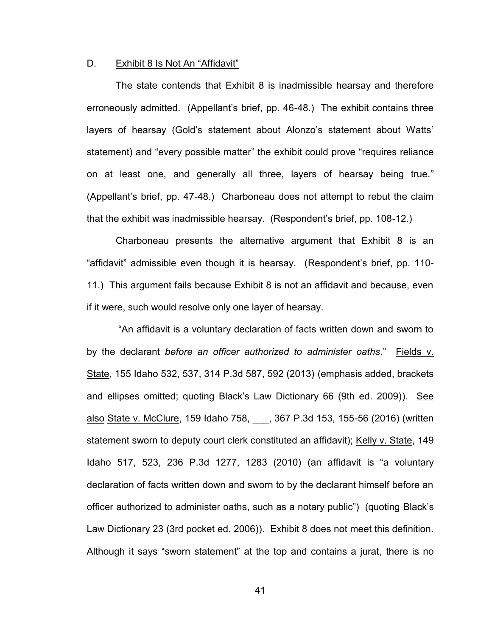#### D. Exhibit 8 Is Not An "Affidavit"

 The state contends that Exhibit 8 is inadmissible hearsay and therefore erroneously admitted. (Appellant's brief, pp. 46-48.) The exhibit contains three layers of hearsay (Gold's statement about Alonzo's statement about Watts' statement) and "every possible matter" the exhibit could prove "requires reliance on at least one, and generally all three, layers of hearsay being true." (Appellant's brief, pp. 47-48.) Charboneau does not attempt to rebut the claim that the exhibit was inadmissible hearsay. (Respondent's brief, pp. 108-12.)

 Charboneau presents the alternative argument that Exhibit 8 is an "affidavit" admissible even though it is hearsay. (Respondent's brief, pp. 110- 11.) This argument fails because Exhibit 8 is not an affidavit and because, even if it were, such would resolve only one layer of hearsay.

 "An affidavit is a voluntary declaration of facts written down and sworn to by the declarant *before an officer authorized to administer oaths*." Fields v. State, 155 Idaho 532, 537, 314 P.3d 587, 592 (2013) (emphasis added, brackets and ellipses omitted; quoting Black's Law Dictionary 66 (9th ed. 2009)). See also State v. McClure, 159 Idaho 758, 367 P.3d 153, 155-56 (2016) (written statement sworn to deputy court clerk constituted an affidavit); Kelly v. State, 149 Idaho 517, 523, 236 P.3d 1277, 1283 (2010) (an affidavit is "a voluntary declaration of facts written down and sworn to by the declarant himself before an officer authorized to administer oaths, such as a notary public") (quoting Black's Law Dictionary 23 (3rd pocket ed. 2006)). Exhibit 8 does not meet this definition. Although it says "sworn statement" at the top and contains a jurat, there is no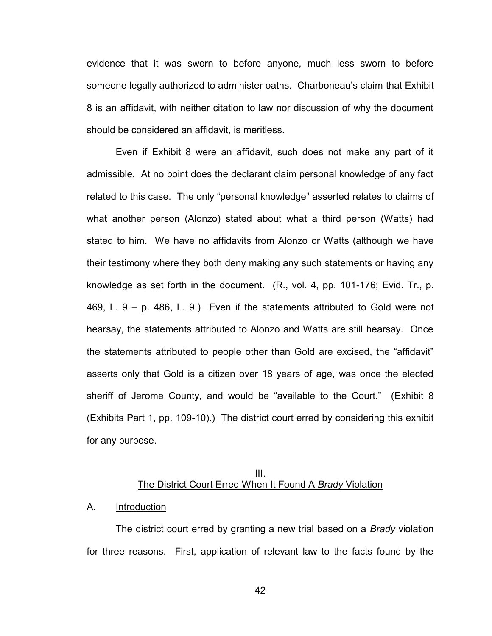evidence that it was sworn to before anyone, much less sworn to before someone legally authorized to administer oaths. Charboneau's claim that Exhibit 8 is an affidavit, with neither citation to law nor discussion of why the document should be considered an affidavit, is meritless.

 Even if Exhibit 8 were an affidavit, such does not make any part of it admissible. At no point does the declarant claim personal knowledge of any fact related to this case. The only "personal knowledge" asserted relates to claims of what another person (Alonzo) stated about what a third person (Watts) had stated to him. We have no affidavits from Alonzo or Watts (although we have their testimony where they both deny making any such statements or having any knowledge as set forth in the document. (R., vol. 4, pp. 101-176; Evid. Tr., p. 469, L. 9 – p. 486, L. 9.) Even if the statements attributed to Gold were not hearsay, the statements attributed to Alonzo and Watts are still hearsay. Once the statements attributed to people other than Gold are excised, the "affidavit" asserts only that Gold is a citizen over 18 years of age, was once the elected sheriff of Jerome County, and would be "available to the Court." (Exhibit 8 (Exhibits Part 1, pp. 109-10).) The district court erred by considering this exhibit for any purpose.

### III. The District Court Erred When It Found A *Brady* Violation

### A. Introduction

 The district court erred by granting a new trial based on a *Brady* violation for three reasons. First, application of relevant law to the facts found by the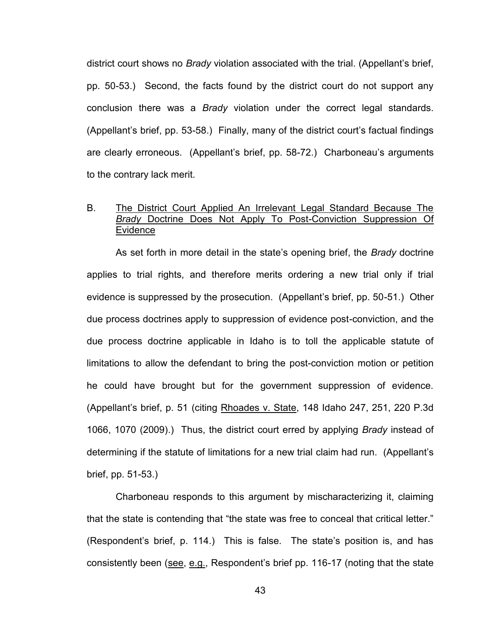district court shows no *Brady* violation associated with the trial. (Appellant's brief, pp. 50-53.) Second, the facts found by the district court do not support any conclusion there was a *Brady* violation under the correct legal standards. (Appellant's brief, pp. 53-58.) Finally, many of the district court's factual findings are clearly erroneous. (Appellant's brief, pp. 58-72.) Charboneau's arguments to the contrary lack merit.

# B. The District Court Applied An Irrelevant Legal Standard Because The *Brady* Doctrine Does Not Apply To Post-Conviction Suppression Of Evidence

 As set forth in more detail in the state's opening brief, the *Brady* doctrine applies to trial rights, and therefore merits ordering a new trial only if trial evidence is suppressed by the prosecution. (Appellant's brief, pp. 50-51.) Other due process doctrines apply to suppression of evidence post-conviction, and the due process doctrine applicable in Idaho is to toll the applicable statute of limitations to allow the defendant to bring the post-conviction motion or petition he could have brought but for the government suppression of evidence. (Appellant's brief, p. 51 (citing Rhoades v. State, 148 Idaho 247, 251, 220 P.3d 1066, 1070 (2009).) Thus, the district court erred by applying *Brady* instead of determining if the statute of limitations for a new trial claim had run. (Appellant's brief, pp. 51-53.)

 Charboneau responds to this argument by mischaracterizing it, claiming that the state is contending that "the state was free to conceal that critical letter." (Respondent's brief, p. 114.) This is false. The state's position is, and has consistently been (see, e.g., Respondent's brief pp. 116-17 (noting that the state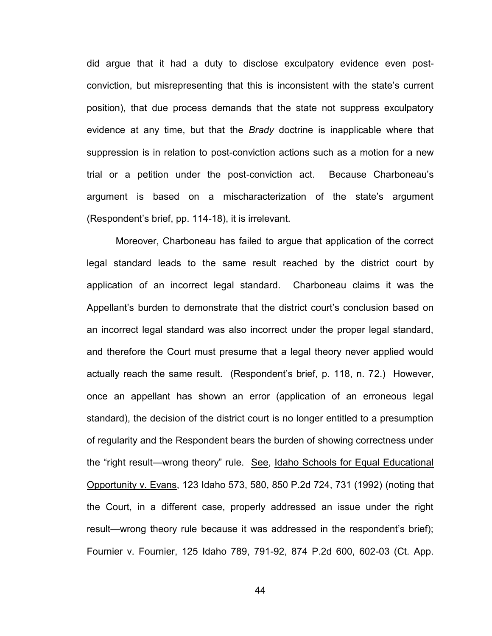did argue that it had a duty to disclose exculpatory evidence even postconviction, but misrepresenting that this is inconsistent with the state's current position), that due process demands that the state not suppress exculpatory evidence at any time, but that the *Brady* doctrine is inapplicable where that suppression is in relation to post-conviction actions such as a motion for a new trial or a petition under the post-conviction act. Because Charboneau's argument is based on a mischaracterization of the state's argument (Respondent's brief, pp. 114-18), it is irrelevant.

Moreover, Charboneau has failed to argue that application of the correct legal standard leads to the same result reached by the district court by application of an incorrect legal standard. Charboneau claims it was the Appellant's burden to demonstrate that the district court's conclusion based on an incorrect legal standard was also incorrect under the proper legal standard, and therefore the Court must presume that a legal theory never applied would actually reach the same result. (Respondent's brief, p. 118, n. 72.) However, once an appellant has shown an error (application of an erroneous legal standard), the decision of the district court is no longer entitled to a presumption of regularity and the Respondent bears the burden of showing correctness under the "right result—wrong theory" rule. See, Idaho Schools for Equal Educational Opportunity v. Evans, 123 Idaho 573, 580, 850 P.2d 724, 731 (1992) (noting that the Court, in a different case, properly addressed an issue under the right result—wrong theory rule because it was addressed in the respondent's brief); Fournier v. Fournier, 125 Idaho 789, 791-92, 874 P.2d 600, 602-03 (Ct. App.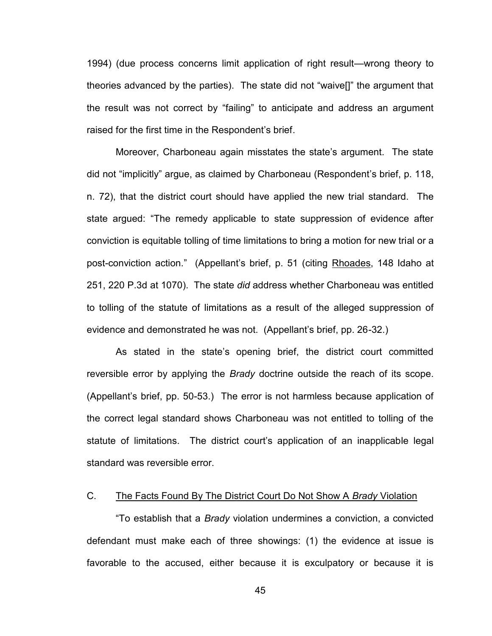1994) (due process concerns limit application of right result—wrong theory to theories advanced by the parties). The state did not "waive[]" the argument that the result was not correct by "failing" to anticipate and address an argument raised for the first time in the Respondent's brief.

Moreover, Charboneau again misstates the state's argument. The state did not "implicitly" argue, as claimed by Charboneau (Respondent's brief, p. 118, n. 72), that the district court should have applied the new trial standard. The state argued: "The remedy applicable to state suppression of evidence after conviction is equitable tolling of time limitations to bring a motion for new trial or a post-conviction action." (Appellant's brief, p. 51 (citing Rhoades, 148 Idaho at 251, 220 P.3d at 1070). The state *did* address whether Charboneau was entitled to tolling of the statute of limitations as a result of the alleged suppression of evidence and demonstrated he was not. (Appellant's brief, pp. 26-32.)

As stated in the state's opening brief, the district court committed reversible error by applying the *Brady* doctrine outside the reach of its scope. (Appellant's brief, pp. 50-53.) The error is not harmless because application of the correct legal standard shows Charboneau was not entitled to tolling of the statute of limitations. The district court's application of an inapplicable legal standard was reversible error.

# C. The Facts Found By The District Court Do Not Show A *Brady* Violation

 "To establish that a *Brady* violation undermines a conviction, a convicted defendant must make each of three showings: (1) the evidence at issue is favorable to the accused, either because it is exculpatory or because it is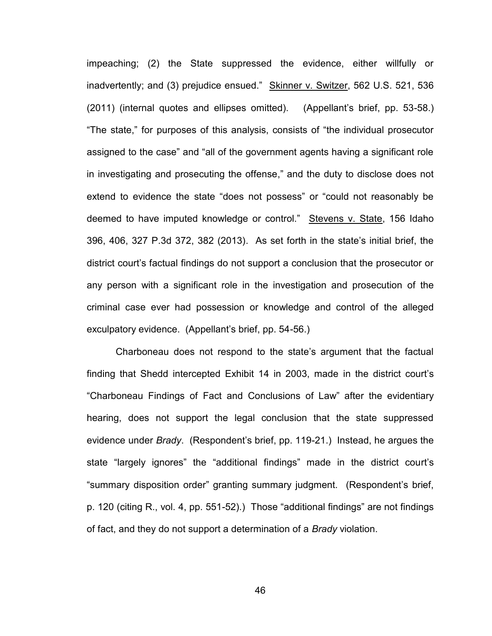impeaching; (2) the State suppressed the evidence, either willfully or inadvertently; and (3) prejudice ensued." Skinner v. Switzer, 562 U.S. 521, 536 (2011) (internal quotes and ellipses omitted). (Appellant's brief, pp. 53-58.) "The state," for purposes of this analysis, consists of "the individual prosecutor assigned to the case" and "all of the government agents having a significant role in investigating and prosecuting the offense," and the duty to disclose does not extend to evidence the state "does not possess" or "could not reasonably be deemed to have imputed knowledge or control." Stevens v. State, 156 Idaho 396, 406, 327 P.3d 372, 382 (2013). As set forth in the state's initial brief, the district court's factual findings do not support a conclusion that the prosecutor or any person with a significant role in the investigation and prosecution of the criminal case ever had possession or knowledge and control of the alleged exculpatory evidence. (Appellant's brief, pp. 54-56.)

 Charboneau does not respond to the state's argument that the factual finding that Shedd intercepted Exhibit 14 in 2003, made in the district court's "Charboneau Findings of Fact and Conclusions of Law" after the evidentiary hearing, does not support the legal conclusion that the state suppressed evidence under *Brady*. (Respondent's brief, pp. 119-21.) Instead, he argues the state "largely ignores" the "additional findings" made in the district court's "summary disposition order" granting summary judgment. (Respondent's brief, p. 120 (citing R., vol. 4, pp. 551-52).) Those "additional findings" are not findings of fact, and they do not support a determination of a *Brady* violation.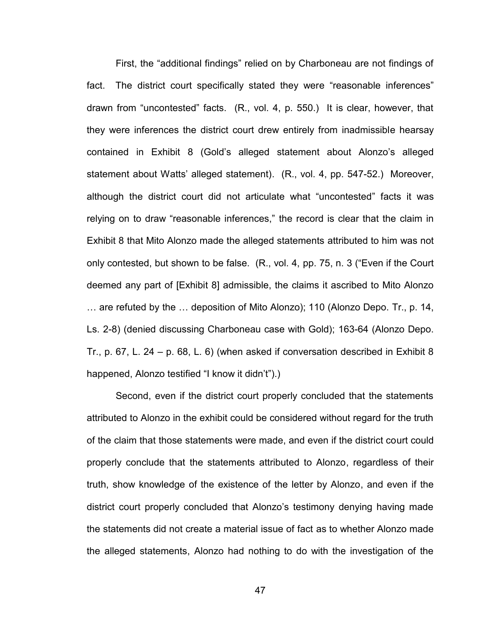First, the "additional findings" relied on by Charboneau are not findings of fact. The district court specifically stated they were "reasonable inferences" drawn from "uncontested" facts. (R., vol. 4, p. 550.) It is clear, however, that they were inferences the district court drew entirely from inadmissible hearsay contained in Exhibit 8 (Gold's alleged statement about Alonzo's alleged statement about Watts' alleged statement). (R., vol. 4, pp. 547-52.) Moreover, although the district court did not articulate what "uncontested" facts it was relying on to draw "reasonable inferences," the record is clear that the claim in Exhibit 8 that Mito Alonzo made the alleged statements attributed to him was not only contested, but shown to be false. (R., vol. 4, pp. 75, n. 3 ("Even if the Court deemed any part of [Exhibit 8] admissible, the claims it ascribed to Mito Alonzo … are refuted by the … deposition of Mito Alonzo); 110 (Alonzo Depo. Tr., p. 14, Ls. 2-8) (denied discussing Charboneau case with Gold); 163-64 (Alonzo Depo. Tr., p. 67, L. 24 – p. 68, L. 6) (when asked if conversation described in Exhibit 8 happened, Alonzo testified "I know it didn't").)

 Second, even if the district court properly concluded that the statements attributed to Alonzo in the exhibit could be considered without regard for the truth of the claim that those statements were made, and even if the district court could properly conclude that the statements attributed to Alonzo, regardless of their truth, show knowledge of the existence of the letter by Alonzo, and even if the district court properly concluded that Alonzo's testimony denying having made the statements did not create a material issue of fact as to whether Alonzo made the alleged statements, Alonzo had nothing to do with the investigation of the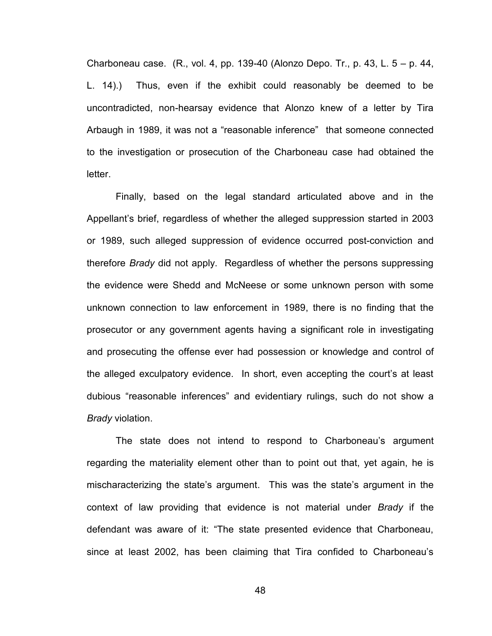Charboneau case. (R., vol. 4, pp. 139-40 (Alonzo Depo. Tr., p. 43, L. 5 – p. 44, L. 14).) Thus, even if the exhibit could reasonably be deemed to be uncontradicted, non-hearsay evidence that Alonzo knew of a letter by Tira Arbaugh in 1989, it was not a "reasonable inference" that someone connected to the investigation or prosecution of the Charboneau case had obtained the letter.

Finally, based on the legal standard articulated above and in the Appellant's brief, regardless of whether the alleged suppression started in 2003 or 1989, such alleged suppression of evidence occurred post-conviction and therefore *Brady* did not apply. Regardless of whether the persons suppressing the evidence were Shedd and McNeese or some unknown person with some unknown connection to law enforcement in 1989, there is no finding that the prosecutor or any government agents having a significant role in investigating and prosecuting the offense ever had possession or knowledge and control of the alleged exculpatory evidence. In short, even accepting the court's at least dubious "reasonable inferences" and evidentiary rulings, such do not show a *Brady* violation.

The state does not intend to respond to Charboneau's argument regarding the materiality element other than to point out that, yet again, he is mischaracterizing the state's argument. This was the state's argument in the context of law providing that evidence is not material under *Brady* if the defendant was aware of it: "The state presented evidence that Charboneau, since at least 2002, has been claiming that Tira confided to Charboneau's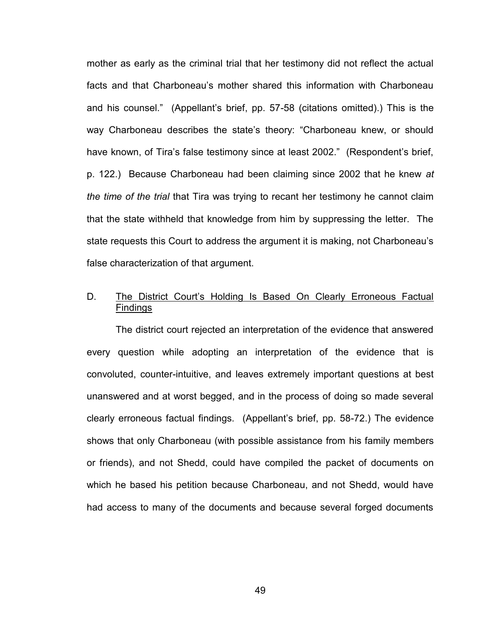mother as early as the criminal trial that her testimony did not reflect the actual facts and that Charboneau's mother shared this information with Charboneau and his counsel." (Appellant's brief, pp. 57-58 (citations omitted).) This is the way Charboneau describes the state's theory: "Charboneau knew, or should have known, of Tira's false testimony since at least 2002." (Respondent's brief, p. 122.) Because Charboneau had been claiming since 2002 that he knew *at the time of the trial* that Tira was trying to recant her testimony he cannot claim that the state withheld that knowledge from him by suppressing the letter. The state requests this Court to address the argument it is making, not Charboneau's false characterization of that argument.

# D. The District Court's Holding Is Based On Clearly Erroneous Factual Findings

 The district court rejected an interpretation of the evidence that answered every question while adopting an interpretation of the evidence that is convoluted, counter-intuitive, and leaves extremely important questions at best unanswered and at worst begged, and in the process of doing so made several clearly erroneous factual findings. (Appellant's brief, pp. 58-72.) The evidence shows that only Charboneau (with possible assistance from his family members or friends), and not Shedd, could have compiled the packet of documents on which he based his petition because Charboneau, and not Shedd, would have had access to many of the documents and because several forged documents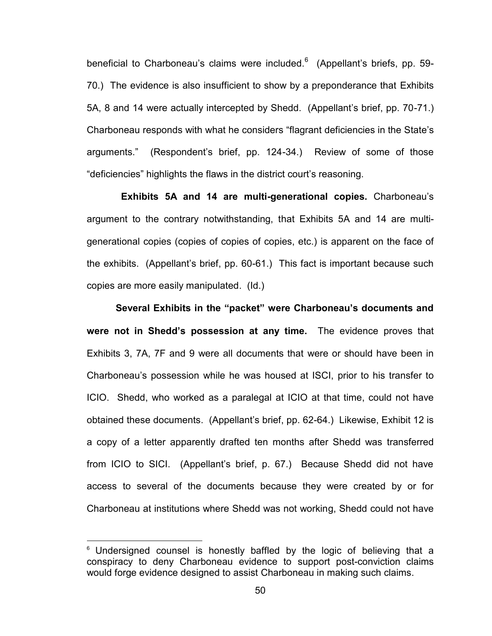beneficial to Charboneau's claims were included. $^6\;$  (Appellant's briefs, pp. 59-70.) The evidence is also insufficient to show by a preponderance that Exhibits 5A, 8 and 14 were actually intercepted by Shedd. (Appellant's brief, pp. 70-71.) Charboneau responds with what he considers "flagrant deficiencies in the State's arguments." (Respondent's brief, pp. 124-34.) Review of some of those "deficiencies" highlights the flaws in the district court's reasoning.

 **Exhibits 5A and 14 are multi-generational copies.** Charboneau's argument to the contrary notwithstanding, that Exhibits 5A and 14 are multigenerational copies (copies of copies of copies, etc.) is apparent on the face of the exhibits. (Appellant's brief, pp. 60-61.) This fact is important because such copies are more easily manipulated. (Id.)

**Several Exhibits in the "packet" were Charboneau's documents and were not in Shedd's possession at any time.** The evidence proves that Exhibits 3, 7A, 7F and 9 were all documents that were or should have been in Charboneau's possession while he was housed at ISCI, prior to his transfer to ICIO. Shedd, who worked as a paralegal at ICIO at that time, could not have obtained these documents. (Appellant's brief, pp. 62-64.) Likewise, Exhibit 12 is a copy of a letter apparently drafted ten months after Shedd was transferred from ICIO to SICI. (Appellant's brief, p. 67.) Because Shedd did not have access to several of the documents because they were created by or for Charboneau at institutions where Shedd was not working, Shedd could not have

 $\overline{a}$ 

 $6$  Undersigned counsel is honestly baffled by the logic of believing that a conspiracy to deny Charboneau evidence to support post-conviction claims would forge evidence designed to assist Charboneau in making such claims.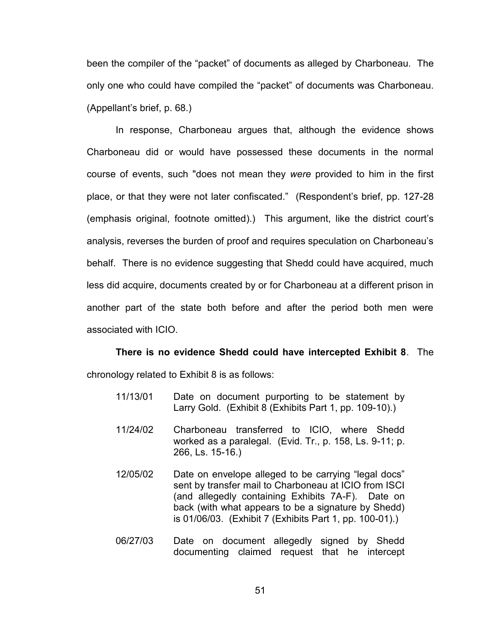been the compiler of the "packet" of documents as alleged by Charboneau. The only one who could have compiled the "packet" of documents was Charboneau. (Appellant's brief, p. 68.)

In response, Charboneau argues that, although the evidence shows Charboneau did or would have possessed these documents in the normal course of events, such "does not mean they *were* provided to him in the first place, or that they were not later confiscated." (Respondent's brief, pp. 127-28 (emphasis original, footnote omitted).) This argument, like the district court's analysis, reverses the burden of proof and requires speculation on Charboneau's behalf. There is no evidence suggesting that Shedd could have acquired, much less did acquire, documents created by or for Charboneau at a different prison in another part of the state both before and after the period both men were associated with ICIO.

# **There is no evidence Shedd could have intercepted Exhibit 8**. The

chronology related to Exhibit 8 is as follows:

- 11/13/01 Date on document purporting to be statement by Larry Gold. (Exhibit 8 (Exhibits Part 1, pp. 109-10).)
- 11/24/02 Charboneau transferred to ICIO, where Shedd worked as a paralegal. (Evid. Tr., p. 158, Ls. 9-11; p. 266, Ls. 15-16.)
- 12/05/02 Date on envelope alleged to be carrying "legal docs" sent by transfer mail to Charboneau at ICIO from ISCI (and allegedly containing Exhibits 7A-F). Date on back (with what appears to be a signature by Shedd) is 01/06/03. (Exhibit 7 (Exhibits Part 1, pp. 100-01).)
- 06/27/03 Date on document allegedly signed by Shedd documenting claimed request that he intercept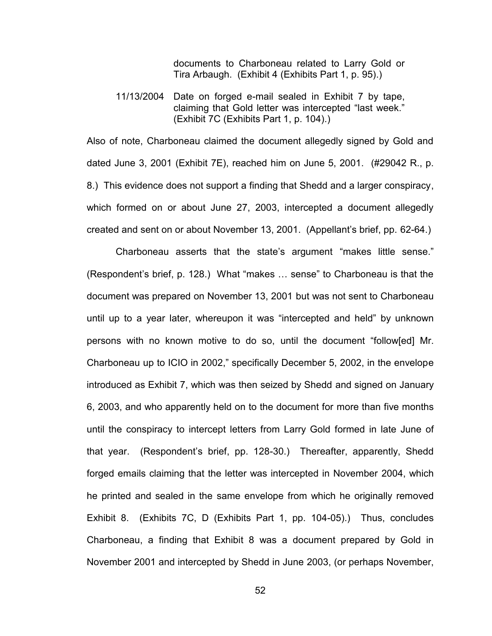documents to Charboneau related to Larry Gold or Tira Arbaugh. (Exhibit 4 (Exhibits Part 1, p. 95).)

11/13/2004 Date on forged e-mail sealed in Exhibit 7 by tape, claiming that Gold letter was intercepted "last week." (Exhibit 7C (Exhibits Part 1, p. 104).)

Also of note, Charboneau claimed the document allegedly signed by Gold and dated June 3, 2001 (Exhibit 7E), reached him on June 5, 2001. (#29042 R., p. 8.) This evidence does not support a finding that Shedd and a larger conspiracy, which formed on or about June 27, 2003, intercepted a document allegedly created and sent on or about November 13, 2001. (Appellant's brief, pp. 62-64.)

Charboneau asserts that the state's argument "makes little sense." (Respondent's brief, p. 128.) What "makes … sense" to Charboneau is that the document was prepared on November 13, 2001 but was not sent to Charboneau until up to a year later, whereupon it was "intercepted and held" by unknown persons with no known motive to do so, until the document "follow[ed] Mr. Charboneau up to ICIO in 2002," specifically December 5, 2002, in the envelope introduced as Exhibit 7, which was then seized by Shedd and signed on January 6, 2003, and who apparently held on to the document for more than five months until the conspiracy to intercept letters from Larry Gold formed in late June of that year. (Respondent's brief, pp. 128-30.) Thereafter, apparently, Shedd forged emails claiming that the letter was intercepted in November 2004, which he printed and sealed in the same envelope from which he originally removed Exhibit 8. (Exhibits 7C, D (Exhibits Part 1, pp. 104-05).) Thus, concludes Charboneau, a finding that Exhibit 8 was a document prepared by Gold in November 2001 and intercepted by Shedd in June 2003, (or perhaps November,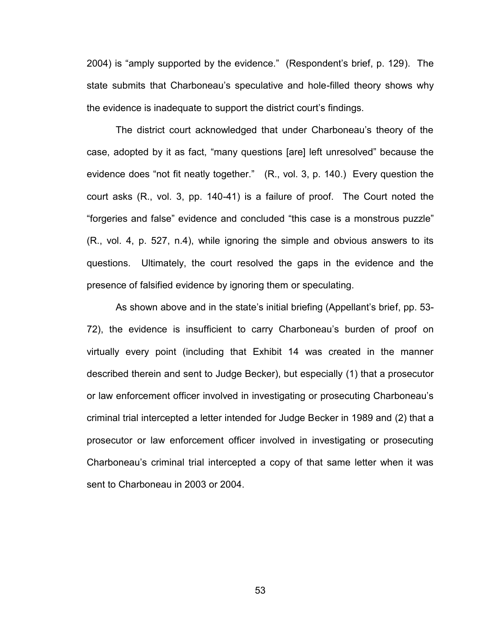2004) is "amply supported by the evidence." (Respondent's brief, p. 129). The state submits that Charboneau's speculative and hole-filled theory shows why the evidence is inadequate to support the district court's findings.

The district court acknowledged that under Charboneau's theory of the case, adopted by it as fact, "many questions [are] left unresolved" because the evidence does "not fit neatly together." (R., vol. 3, p. 140.) Every question the court asks (R., vol. 3, pp. 140-41) is a failure of proof. The Court noted the "forgeries and false" evidence and concluded "this case is a monstrous puzzle" (R., vol. 4, p. 527, n.4), while ignoring the simple and obvious answers to its questions. Ultimately, the court resolved the gaps in the evidence and the presence of falsified evidence by ignoring them or speculating.

As shown above and in the state's initial briefing (Appellant's brief, pp. 53- 72), the evidence is insufficient to carry Charboneau's burden of proof on virtually every point (including that Exhibit 14 was created in the manner described therein and sent to Judge Becker), but especially (1) that a prosecutor or law enforcement officer involved in investigating or prosecuting Charboneau's criminal trial intercepted a letter intended for Judge Becker in 1989 and (2) that a prosecutor or law enforcement officer involved in investigating or prosecuting Charboneau's criminal trial intercepted a copy of that same letter when it was sent to Charboneau in 2003 or 2004.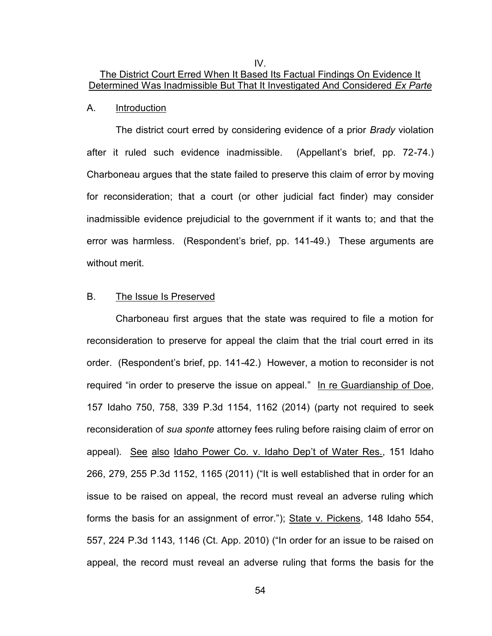IV.

# The District Court Erred When It Based Its Factual Findings On Evidence It Determined Was Inadmissible But That It Investigated And Considered *Ex Parte*

#### A. Introduction

 The district court erred by considering evidence of a prior *Brady* violation after it ruled such evidence inadmissible. (Appellant's brief, pp. 72-74.) Charboneau argues that the state failed to preserve this claim of error by moving for reconsideration; that a court (or other judicial fact finder) may consider inadmissible evidence prejudicial to the government if it wants to; and that the error was harmless. (Respondent's brief, pp. 141-49.) These arguments are without merit.

## B. The Issue Is Preserved

 Charboneau first argues that the state was required to file a motion for reconsideration to preserve for appeal the claim that the trial court erred in its order. (Respondent's brief, pp. 141-42.) However, a motion to reconsider is not required "in order to preserve the issue on appeal." In re Guardianship of Doe, 157 Idaho 750, 758, 339 P.3d 1154, 1162 (2014) (party not required to seek reconsideration of *sua sponte* attorney fees ruling before raising claim of error on appeal). See also Idaho Power Co. v. Idaho Dep't of Water Res., 151 Idaho 266, 279, 255 P.3d 1152, 1165 (2011) ("It is well established that in order for an issue to be raised on appeal, the record must reveal an adverse ruling which forms the basis for an assignment of error."); State v. Pickens, 148 Idaho 554, 557, 224 P.3d 1143, 1146 (Ct. App. 2010) ("In order for an issue to be raised on appeal, the record must reveal an adverse ruling that forms the basis for the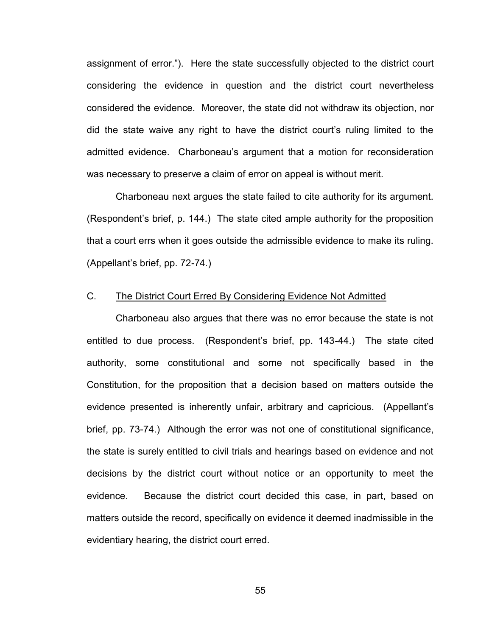assignment of error."). Here the state successfully objected to the district court considering the evidence in question and the district court nevertheless considered the evidence. Moreover, the state did not withdraw its objection, nor did the state waive any right to have the district court's ruling limited to the admitted evidence. Charboneau's argument that a motion for reconsideration was necessary to preserve a claim of error on appeal is without merit.

 Charboneau next argues the state failed to cite authority for its argument. (Respondent's brief, p. 144.) The state cited ample authority for the proposition that a court errs when it goes outside the admissible evidence to make its ruling. (Appellant's brief, pp. 72-74.)

## C. The District Court Erred By Considering Evidence Not Admitted

 Charboneau also argues that there was no error because the state is not entitled to due process. (Respondent's brief, pp. 143-44.) The state cited authority, some constitutional and some not specifically based in the Constitution, for the proposition that a decision based on matters outside the evidence presented is inherently unfair, arbitrary and capricious. (Appellant's brief, pp. 73-74.) Although the error was not one of constitutional significance, the state is surely entitled to civil trials and hearings based on evidence and not decisions by the district court without notice or an opportunity to meet the evidence. Because the district court decided this case, in part, based on matters outside the record, specifically on evidence it deemed inadmissible in the evidentiary hearing, the district court erred.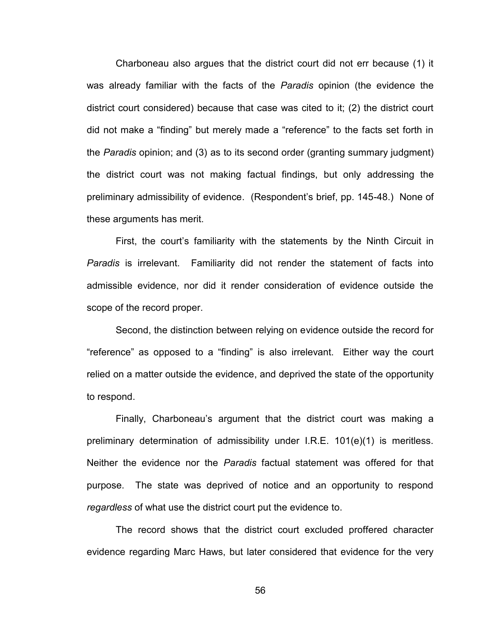Charboneau also argues that the district court did not err because (1) it was already familiar with the facts of the *Paradis* opinion (the evidence the district court considered) because that case was cited to it; (2) the district court did not make a "finding" but merely made a "reference" to the facts set forth in the *Paradis* opinion; and (3) as to its second order (granting summary judgment) the district court was not making factual findings, but only addressing the preliminary admissibility of evidence. (Respondent's brief, pp. 145-48.) None of these arguments has merit.

 First, the court's familiarity with the statements by the Ninth Circuit in *Paradis* is irrelevant. Familiarity did not render the statement of facts into admissible evidence, nor did it render consideration of evidence outside the scope of the record proper.

 Second, the distinction between relying on evidence outside the record for "reference" as opposed to a "finding" is also irrelevant. Either way the court relied on a matter outside the evidence, and deprived the state of the opportunity to respond.

 Finally, Charboneau's argument that the district court was making a preliminary determination of admissibility under I.R.E. 101(e)(1) is meritless. Neither the evidence nor the *Paradis* factual statement was offered for that purpose. The state was deprived of notice and an opportunity to respond *regardless* of what use the district court put the evidence to.

 The record shows that the district court excluded proffered character evidence regarding Marc Haws, but later considered that evidence for the very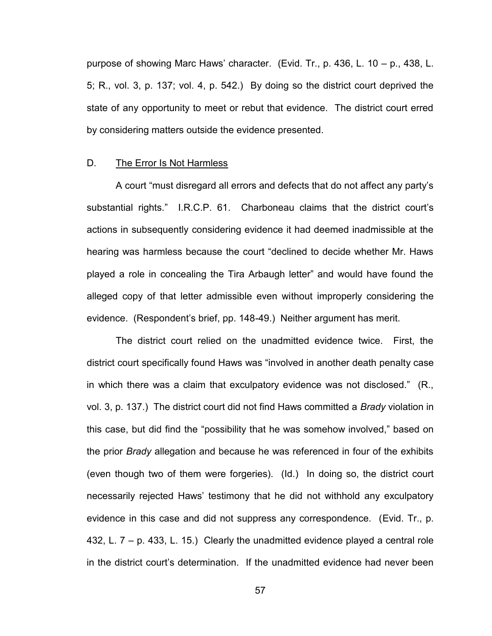purpose of showing Marc Haws' character. (Evid. Tr., p. 436, L. 10 – p., 438, L. 5; R., vol. 3, p. 137; vol. 4, p. 542.) By doing so the district court deprived the state of any opportunity to meet or rebut that evidence. The district court erred by considering matters outside the evidence presented.

### D. The Error Is Not Harmless

 A court "must disregard all errors and defects that do not affect any party's substantial rights." I.R.C.P. 61. Charboneau claims that the district court's actions in subsequently considering evidence it had deemed inadmissible at the hearing was harmless because the court "declined to decide whether Mr. Haws played a role in concealing the Tira Arbaugh letter" and would have found the alleged copy of that letter admissible even without improperly considering the evidence. (Respondent's brief, pp. 148-49.) Neither argument has merit.

 The district court relied on the unadmitted evidence twice. First, the district court specifically found Haws was "involved in another death penalty case in which there was a claim that exculpatory evidence was not disclosed." (R., vol. 3, p. 137.) The district court did not find Haws committed a *Brady* violation in this case, but did find the "possibility that he was somehow involved," based on the prior *Brady* allegation and because he was referenced in four of the exhibits (even though two of them were forgeries). (Id.) In doing so, the district court necessarily rejected Haws' testimony that he did not withhold any exculpatory evidence in this case and did not suppress any correspondence. (Evid. Tr., p. 432, L. 7 – p. 433, L. 15.) Clearly the unadmitted evidence played a central role in the district court's determination. If the unadmitted evidence had never been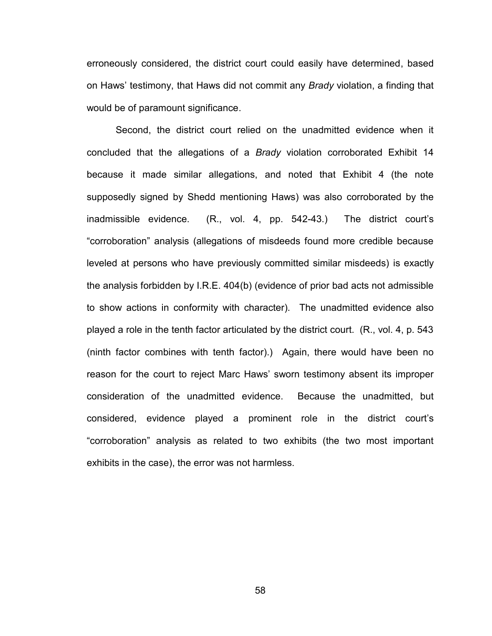erroneously considered, the district court could easily have determined, based on Haws' testimony, that Haws did not commit any *Brady* violation, a finding that would be of paramount significance.

Second, the district court relied on the unadmitted evidence when it concluded that the allegations of a *Brady* violation corroborated Exhibit 14 because it made similar allegations, and noted that Exhibit 4 (the note supposedly signed by Shedd mentioning Haws) was also corroborated by the inadmissible evidence. (R., vol. 4, pp. 542-43.) The district court's "corroboration" analysis (allegations of misdeeds found more credible because leveled at persons who have previously committed similar misdeeds) is exactly the analysis forbidden by I.R.E. 404(b) (evidence of prior bad acts not admissible to show actions in conformity with character). The unadmitted evidence also played a role in the tenth factor articulated by the district court. (R., vol. 4, p. 543 (ninth factor combines with tenth factor).) Again, there would have been no reason for the court to reject Marc Haws' sworn testimony absent its improper consideration of the unadmitted evidence. Because the unadmitted, but considered, evidence played a prominent role in the district court's "corroboration" analysis as related to two exhibits (the two most important exhibits in the case), the error was not harmless.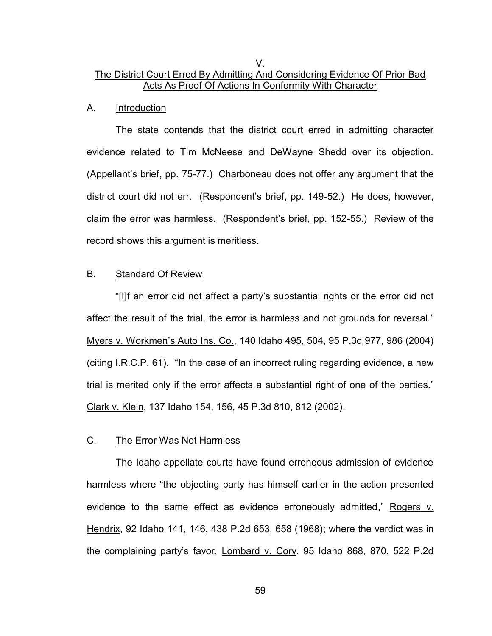# V. The District Court Erred By Admitting And Considering Evidence Of Prior Bad Acts As Proof Of Actions In Conformity With Character

### A. Introduction

 The state contends that the district court erred in admitting character evidence related to Tim McNeese and DeWayne Shedd over its objection. (Appellant's brief, pp. 75-77.) Charboneau does not offer any argument that the district court did not err. (Respondent's brief, pp. 149-52.) He does, however, claim the error was harmless. (Respondent's brief, pp. 152-55.) Review of the record shows this argument is meritless.

## B. Standard Of Review

 "[I]f an error did not affect a party's substantial rights or the error did not affect the result of the trial, the error is harmless and not grounds for reversal." Myers v. Workmen's Auto Ins. Co., 140 Idaho 495, 504, 95 P.3d 977, 986 (2004) (citing I.R.C.P. 61). "In the case of an incorrect ruling regarding evidence, a new trial is merited only if the error affects a substantial right of one of the parties." Clark v. Klein, 137 Idaho 154, 156, 45 P.3d 810, 812 (2002).

## C. The Error Was Not Harmless

 The Idaho appellate courts have found erroneous admission of evidence harmless where "the objecting party has himself earlier in the action presented evidence to the same effect as evidence erroneously admitted," Rogers v. Hendrix, 92 Idaho 141, 146, 438 P.2d 653, 658 (1968); where the verdict was in the complaining party's favor, Lombard v. Cory, 95 Idaho 868, 870, 522 P.2d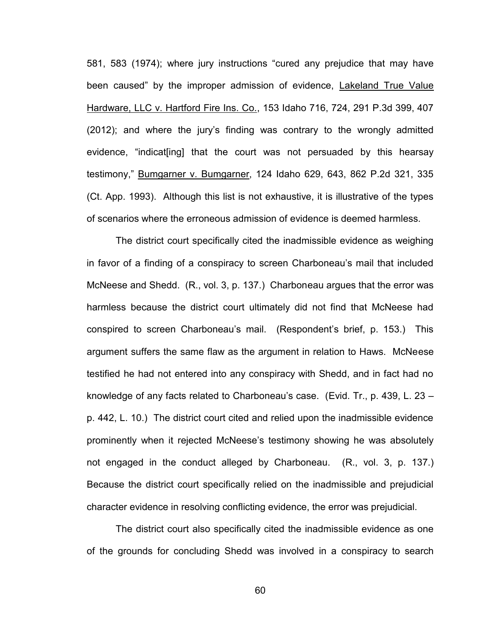581, 583 (1974); where jury instructions "cured any prejudice that may have been caused" by the improper admission of evidence, Lakeland True Value Hardware, LLC v. Hartford Fire Ins. Co., 153 Idaho 716, 724, 291 P.3d 399, 407 (2012); and where the jury's finding was contrary to the wrongly admitted evidence, "indicat[ing] that the court was not persuaded by this hearsay testimony," Bumgarner v. Bumgarner, 124 Idaho 629, 643, 862 P.2d 321, 335 (Ct. App. 1993). Although this list is not exhaustive, it is illustrative of the types of scenarios where the erroneous admission of evidence is deemed harmless.

 The district court specifically cited the inadmissible evidence as weighing in favor of a finding of a conspiracy to screen Charboneau's mail that included McNeese and Shedd. (R., vol. 3, p. 137.) Charboneau argues that the error was harmless because the district court ultimately did not find that McNeese had conspired to screen Charboneau's mail. (Respondent's brief, p. 153.) This argument suffers the same flaw as the argument in relation to Haws. McNeese testified he had not entered into any conspiracy with Shedd, and in fact had no knowledge of any facts related to Charboneau's case. (Evid. Tr., p. 439, L. 23 – p. 442, L. 10.) The district court cited and relied upon the inadmissible evidence prominently when it rejected McNeese's testimony showing he was absolutely not engaged in the conduct alleged by Charboneau. (R., vol. 3, p. 137.) Because the district court specifically relied on the inadmissible and prejudicial character evidence in resolving conflicting evidence, the error was prejudicial.

The district court also specifically cited the inadmissible evidence as one of the grounds for concluding Shedd was involved in a conspiracy to search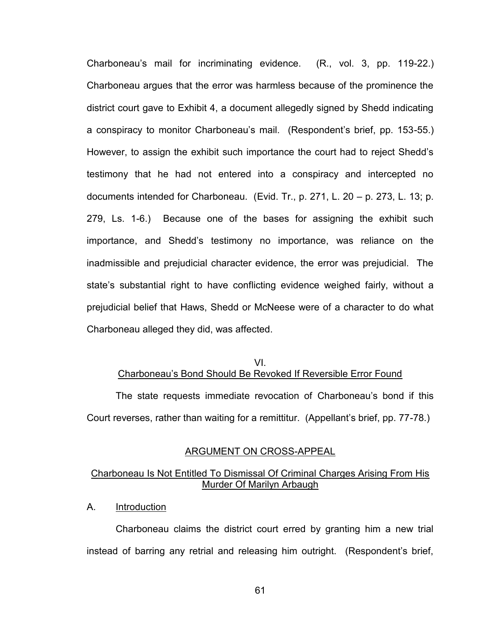Charboneau's mail for incriminating evidence. (R., vol. 3, pp. 119-22.) Charboneau argues that the error was harmless because of the prominence the district court gave to Exhibit 4, a document allegedly signed by Shedd indicating a conspiracy to monitor Charboneau's mail. (Respondent's brief, pp. 153-55.) However, to assign the exhibit such importance the court had to reject Shedd's testimony that he had not entered into a conspiracy and intercepted no documents intended for Charboneau. (Evid. Tr., p. 271, L. 20 – p. 273, L. 13; p. 279, Ls. 1-6.) Because one of the bases for assigning the exhibit such importance, and Shedd's testimony no importance, was reliance on the inadmissible and prejudicial character evidence, the error was prejudicial. The state's substantial right to have conflicting evidence weighed fairly, without a prejudicial belief that Haws, Shedd or McNeese were of a character to do what Charboneau alleged they did, was affected.

# VI. Charboneau's Bond Should Be Revoked If Reversible Error Found

 The state requests immediate revocation of Charboneau's bond if this Court reverses, rather than waiting for a remittitur. (Appellant's brief, pp. 77-78.)

### ARGUMENT ON CROSS-APPEAL

## Charboneau Is Not Entitled To Dismissal Of Criminal Charges Arising From His Murder Of Marilyn Arbaugh

A. Introduction

 Charboneau claims the district court erred by granting him a new trial instead of barring any retrial and releasing him outright. (Respondent's brief,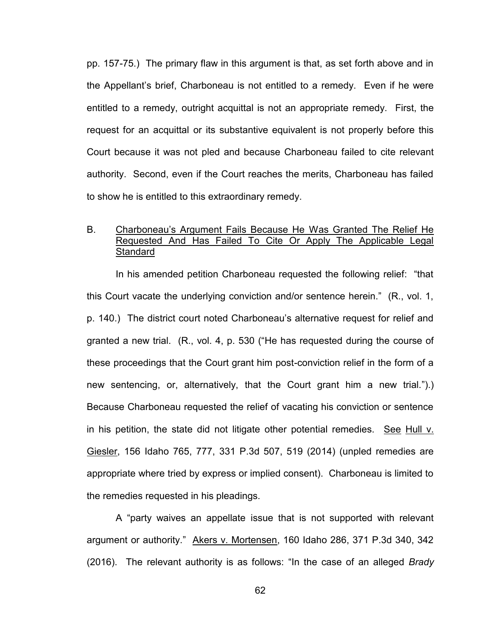pp. 157-75.) The primary flaw in this argument is that, as set forth above and in the Appellant's brief, Charboneau is not entitled to a remedy. Even if he were entitled to a remedy, outright acquittal is not an appropriate remedy. First, the request for an acquittal or its substantive equivalent is not properly before this Court because it was not pled and because Charboneau failed to cite relevant authority. Second, even if the Court reaches the merits, Charboneau has failed to show he is entitled to this extraordinary remedy.

# B. Charboneau's Argument Fails Because He Was Granted The Relief He Requested And Has Failed To Cite Or Apply The Applicable Legal **Standard**

 In his amended petition Charboneau requested the following relief: "that this Court vacate the underlying conviction and/or sentence herein." (R., vol. 1, p. 140.) The district court noted Charboneau's alternative request for relief and granted a new trial. (R., vol. 4, p. 530 ("He has requested during the course of these proceedings that the Court grant him post-conviction relief in the form of a new sentencing, or, alternatively, that the Court grant him a new trial.").) Because Charboneau requested the relief of vacating his conviction or sentence in his petition, the state did not litigate other potential remedies. See Hull  $v$ . Giesler, 156 Idaho 765, 777, 331 P.3d 507, 519 (2014) (unpled remedies are appropriate where tried by express or implied consent). Charboneau is limited to the remedies requested in his pleadings.

 A "party waives an appellate issue that is not supported with relevant argument or authority." Akers v. Mortensen, 160 Idaho 286, 371 P.3d 340, 342 (2016). The relevant authority is as follows: "In the case of an alleged *Brady*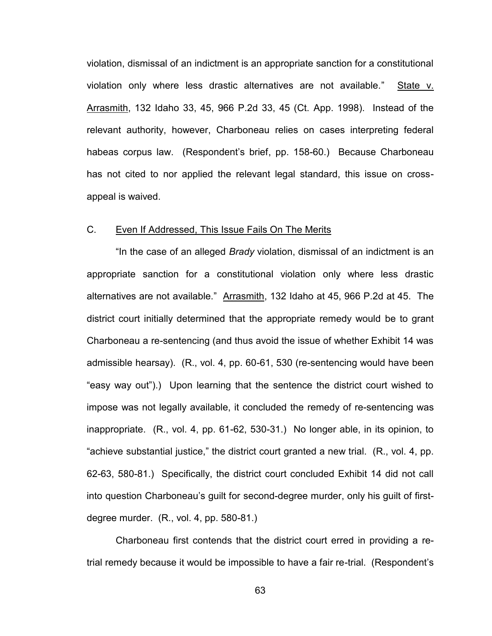violation, dismissal of an indictment is an appropriate sanction for a constitutional violation only where less drastic alternatives are not available." State v. Arrasmith, 132 Idaho 33, 45, 966 P.2d 33, 45 (Ct. App. 1998). Instead of the relevant authority, however, Charboneau relies on cases interpreting federal habeas corpus law. (Respondent's brief, pp. 158-60.) Because Charboneau has not cited to nor applied the relevant legal standard, this issue on crossappeal is waived.

### C. Even If Addressed, This Issue Fails On The Merits

 "In the case of an alleged *Brady* violation, dismissal of an indictment is an appropriate sanction for a constitutional violation only where less drastic alternatives are not available." Arrasmith, 132 Idaho at 45, 966 P.2d at 45. The district court initially determined that the appropriate remedy would be to grant Charboneau a re-sentencing (and thus avoid the issue of whether Exhibit 14 was admissible hearsay). (R., vol. 4, pp. 60-61, 530 (re-sentencing would have been "easy way out").) Upon learning that the sentence the district court wished to impose was not legally available, it concluded the remedy of re-sentencing was inappropriate. (R., vol. 4, pp. 61-62, 530-31.) No longer able, in its opinion, to "achieve substantial justice," the district court granted a new trial. (R., vol. 4, pp. 62-63, 580-81.) Specifically, the district court concluded Exhibit 14 did not call into question Charboneau's guilt for second-degree murder, only his guilt of firstdegree murder. (R., vol. 4, pp. 580-81.)

 Charboneau first contends that the district court erred in providing a retrial remedy because it would be impossible to have a fair re-trial. (Respondent's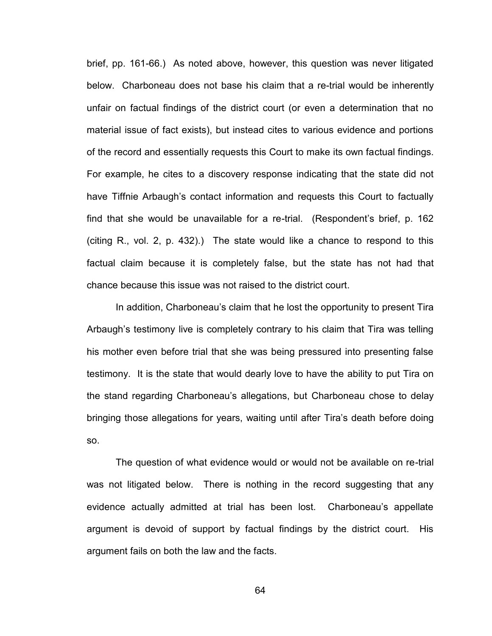brief, pp. 161-66.) As noted above, however, this question was never litigated below. Charboneau does not base his claim that a re-trial would be inherently unfair on factual findings of the district court (or even a determination that no material issue of fact exists), but instead cites to various evidence and portions of the record and essentially requests this Court to make its own factual findings. For example, he cites to a discovery response indicating that the state did not have Tiffnie Arbaugh's contact information and requests this Court to factually find that she would be unavailable for a re-trial. (Respondent's brief, p. 162 (citing R., vol. 2, p. 432).) The state would like a chance to respond to this factual claim because it is completely false, but the state has not had that chance because this issue was not raised to the district court.

In addition, Charboneau's claim that he lost the opportunity to present Tira Arbaugh's testimony live is completely contrary to his claim that Tira was telling his mother even before trial that she was being pressured into presenting false testimony. It is the state that would dearly love to have the ability to put Tira on the stand regarding Charboneau's allegations, but Charboneau chose to delay bringing those allegations for years, waiting until after Tira's death before doing so.

The question of what evidence would or would not be available on re-trial was not litigated below. There is nothing in the record suggesting that any evidence actually admitted at trial has been lost. Charboneau's appellate argument is devoid of support by factual findings by the district court. His argument fails on both the law and the facts.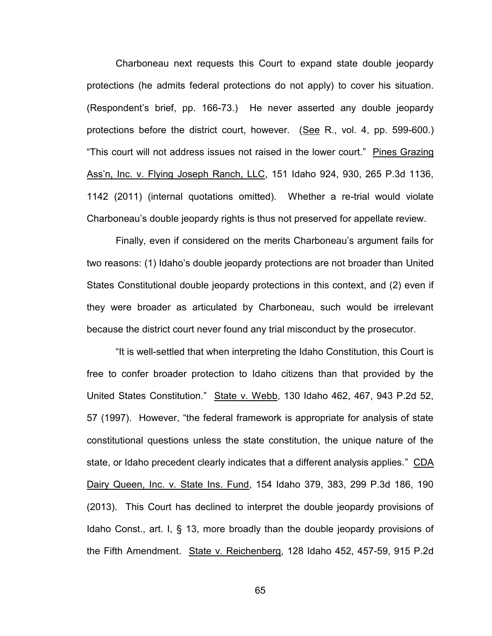Charboneau next requests this Court to expand state double jeopardy protections (he admits federal protections do not apply) to cover his situation. (Respondent's brief, pp. 166-73.) He never asserted any double jeopardy protections before the district court, however. (See R., vol. 4, pp. 599-600.) "This court will not address issues not raised in the lower court." Pines Grazing Ass'n, Inc. v. Flying Joseph Ranch, LLC, 151 Idaho 924, 930, 265 P.3d 1136, 1142 (2011) (internal quotations omitted). Whether a re-trial would violate Charboneau's double jeopardy rights is thus not preserved for appellate review.

Finally, even if considered on the merits Charboneau's argument fails for two reasons: (1) Idaho's double jeopardy protections are not broader than United States Constitutional double jeopardy protections in this context, and (2) even if they were broader as articulated by Charboneau, such would be irrelevant because the district court never found any trial misconduct by the prosecutor.

"It is well-settled that when interpreting the Idaho Constitution, this Court is free to confer broader protection to Idaho citizens than that provided by the United States Constitution." State v. Webb, 130 Idaho 462, 467, 943 P.2d 52, 57 (1997). However, "the federal framework is appropriate for analysis of state constitutional questions unless the state constitution, the unique nature of the state, or Idaho precedent clearly indicates that a different analysis applies." CDA Dairy Queen, Inc. v. State Ins. Fund, 154 Idaho 379, 383, 299 P.3d 186, 190 (2013). This Court has declined to interpret the double jeopardy provisions of Idaho Const., art. I, § 13, more broadly than the double jeopardy provisions of the Fifth Amendment. State v. Reichenberg, 128 Idaho 452, 457-59, 915 P.2d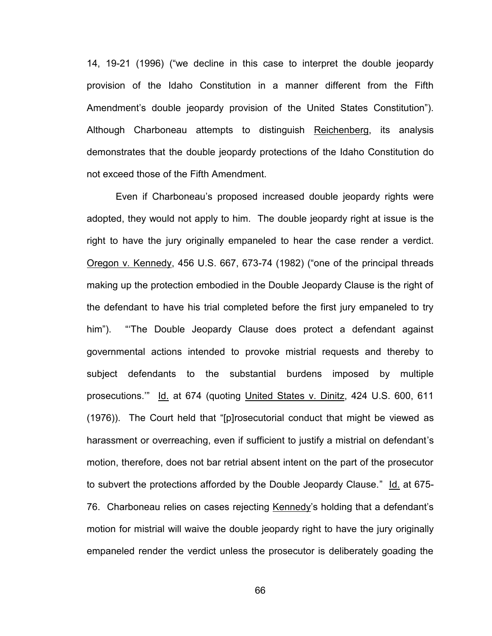14, 19-21 (1996) ("we decline in this case to interpret the double jeopardy provision of the Idaho Constitution in a manner different from the Fifth Amendment's double jeopardy provision of the United States Constitution"). Although Charboneau attempts to distinguish Reichenberg, its analysis demonstrates that the double jeopardy protections of the Idaho Constitution do not exceed those of the Fifth Amendment.

Even if Charboneau's proposed increased double jeopardy rights were adopted, they would not apply to him. The double jeopardy right at issue is the right to have the jury originally empaneled to hear the case render a verdict. Oregon v. Kennedy, 456 U.S. 667, 673-74 (1982) ("one of the principal threads making up the protection embodied in the Double Jeopardy Clause is the right of the defendant to have his trial completed before the first jury empaneled to try him"). "'The Double Jeopardy Clause does protect a defendant against governmental actions intended to provoke mistrial requests and thereby to subject defendants to the substantial burdens imposed by multiple prosecutions." Id. at 674 (quoting United States v. Dinitz, 424 U.S. 600, 611 (1976)). The Court held that "[p]rosecutorial conduct that might be viewed as harassment or overreaching, even if sufficient to justify a mistrial on defendant's motion, therefore, does not bar retrial absent intent on the part of the prosecutor to subvert the protections afforded by the Double Jeopardy Clause." Id. at 675- 76. Charboneau relies on cases rejecting Kennedy's holding that a defendant's motion for mistrial will waive the double jeopardy right to have the jury originally empaneled render the verdict unless the prosecutor is deliberately goading the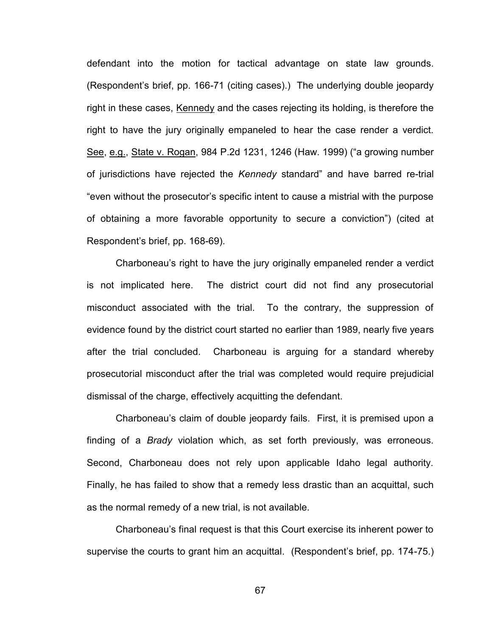defendant into the motion for tactical advantage on state law grounds. (Respondent's brief, pp. 166-71 (citing cases).) The underlying double jeopardy right in these cases, Kennedy and the cases rejecting its holding, is therefore the right to have the jury originally empaneled to hear the case render a verdict. See, e.g., State v. Rogan, 984 P.2d 1231, 1246 (Haw. 1999) ("a growing number of jurisdictions have rejected the *Kennedy* standard" and have barred re-trial "even without the prosecutor's specific intent to cause a mistrial with the purpose of obtaining a more favorable opportunity to secure a conviction") (cited at Respondent's brief, pp. 168-69).

Charboneau's right to have the jury originally empaneled render a verdict is not implicated here. The district court did not find any prosecutorial misconduct associated with the trial. To the contrary, the suppression of evidence found by the district court started no earlier than 1989, nearly five years after the trial concluded. Charboneau is arguing for a standard whereby prosecutorial misconduct after the trial was completed would require prejudicial dismissal of the charge, effectively acquitting the defendant.

Charboneau's claim of double jeopardy fails. First, it is premised upon a finding of a *Brady* violation which, as set forth previously, was erroneous. Second, Charboneau does not rely upon applicable Idaho legal authority. Finally, he has failed to show that a remedy less drastic than an acquittal, such as the normal remedy of a new trial, is not available.

Charboneau's final request is that this Court exercise its inherent power to supervise the courts to grant him an acquittal. (Respondent's brief, pp. 174-75.)